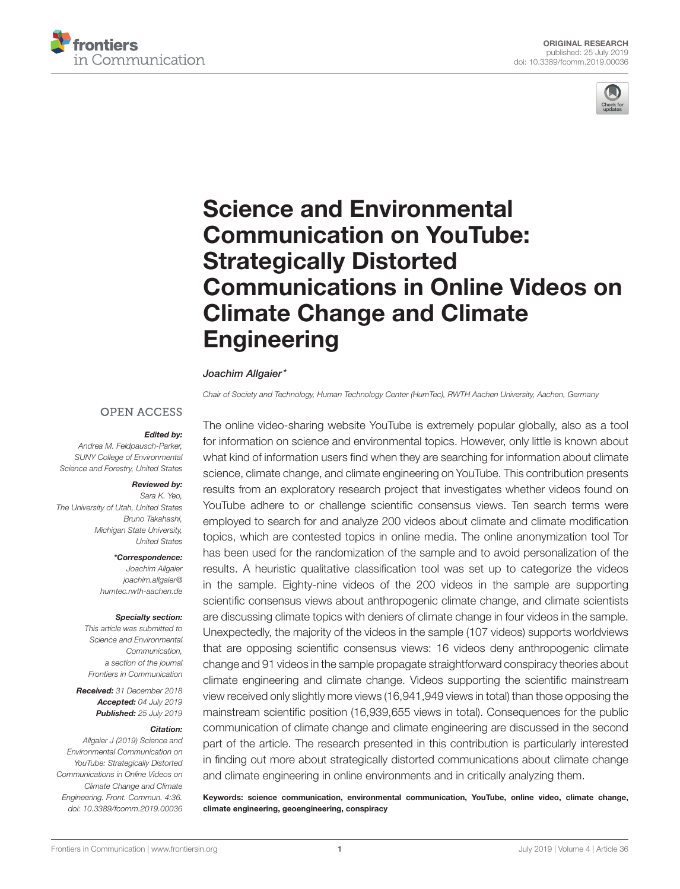



# Science and Environmental Communication on YouTube: Strategically Distorted [Communications in Online Videos on](https://www.frontiersin.org/articles/10.3389/fcomm.2019.00036/full) Climate Change and Climate **Engineering**

### [Joachim Allgaier\\*](http://loop.frontiersin.org/people/664272/overview)

*Chair of Society and Technology, Human Technology Center (HumTec), RWTH Aachen University, Aachen, Germany*

### **OPEN ACCESS**

### Edited by:

*Andrea M. Feldpausch-Parker, SUNY College of Environmental Science and Forestry, United States*

### Reviewed by:

*Sara K. Yeo, The University of Utah, United States Bruno Takahashi, Michigan State University, United States*

### \*Correspondence:

*Joachim Allgaier [joachim.allgaier@](mailto:joachim.allgaier@humtec.rwth-aachen.de) [humtec.rwth-aachen.de](mailto:joachim.allgaier@humtec.rwth-aachen.de)*

#### Specialty section:

*This article was submitted to Science and Environmental Communication, a section of the journal Frontiers in Communication*

Received: *31 December 2018* Accepted: *04 July 2019* Published: *25 July 2019*

#### Citation:

*Allgaier J (2019) Science and Environmental Communication on YouTube: Strategically Distorted Communications in Online Videos on Climate Change and Climate Engineering. Front. Commun. 4:36. doi: [10.3389/fcomm.2019.00036](https://doi.org/10.3389/fcomm.2019.00036)*

The online video-sharing website YouTube is extremely popular globally, also as a tool for information on science and environmental topics. However, only little is known about what kind of information users find when they are searching for information about climate science, climate change, and climate engineering on YouTube. This contribution presents results from an exploratory research project that investigates whether videos found on YouTube adhere to or challenge scientific consensus views. Ten search terms were employed to search for and analyze 200 videos about climate and climate modification topics, which are contested topics in online media. The online anonymization tool Tor has been used for the randomization of the sample and to avoid personalization of the results. A heuristic qualitative classification tool was set up to categorize the videos in the sample. Eighty-nine videos of the 200 videos in the sample are supporting scientific consensus views about anthropogenic climate change, and climate scientists are discussing climate topics with deniers of climate change in four videos in the sample. Unexpectedly, the majority of the videos in the sample (107 videos) supports worldviews that are opposing scientific consensus views: 16 videos deny anthropogenic climate change and 91 videos in the sample propagate straightforward conspiracy theories about climate engineering and climate change. Videos supporting the scientific mainstream view received only slightly more views (16,941,949 views in total) than those opposing the mainstream scientific position (16,939,655 views in total). Consequences for the public communication of climate change and climate engineering are discussed in the second part of the article. The research presented in this contribution is particularly interested in finding out more about strategically distorted communications about climate change and climate engineering in online environments and in critically analyzing them.

Keywords: science communication, environmental communication, YouTube, online video, climate change, climate engineering, geoengineering, conspiracy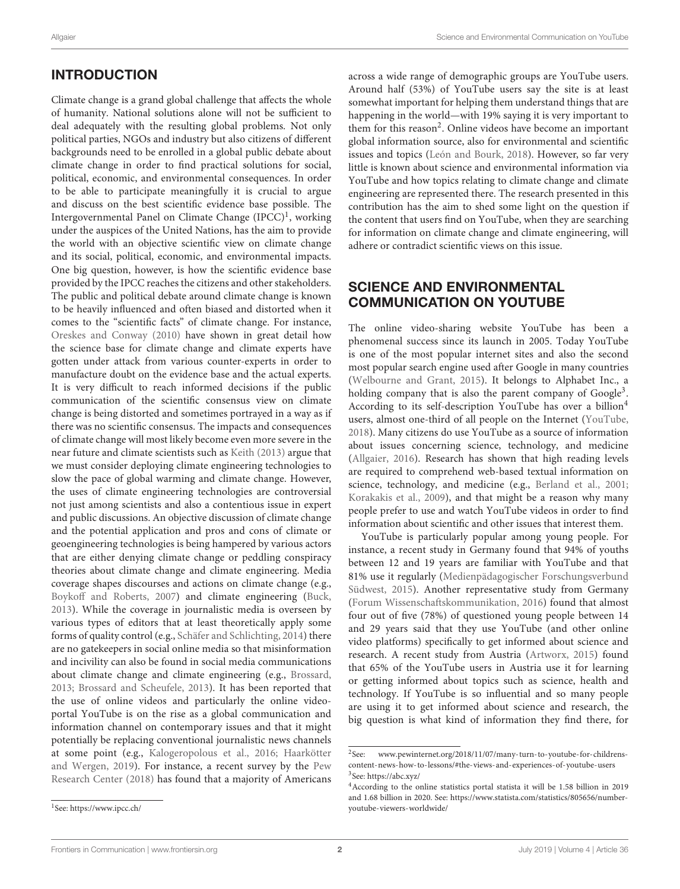# INTRODUCTION

Climate change is a grand global challenge that affects the whole of humanity. National solutions alone will not be sufficient to deal adequately with the resulting global problems. Not only political parties, NGOs and industry but also citizens of different backgrounds need to be enrolled in a global public debate about climate change in order to find practical solutions for social, political, economic, and environmental consequences. In order to be able to participate meaningfully it is crucial to argue and discuss on the best scientific evidence base possible. The Intergovernmental Panel on Climate Change (IPCC)<sup>[1](#page-1-0)</sup>, working under the auspices of the United Nations, has the aim to provide the world with an objective scientific view on climate change and its social, political, economic, and environmental impacts. One big question, however, is how the scientific evidence base provided by the IPCC reaches the citizens and other stakeholders. The public and political debate around climate change is known to be heavily influenced and often biased and distorted when it comes to the "scientific facts" of climate change. For instance, [Oreskes and Conway \(2010\)](#page-13-0) have shown in great detail how the science base for climate change and climate experts have gotten under attack from various counter-experts in order to manufacture doubt on the evidence base and the actual experts. It is very difficult to reach informed decisions if the public communication of the scientific consensus view on climate change is being distorted and sometimes portrayed in a way as if there was no scientific consensus. The impacts and consequences of climate change will most likely become even more severe in the near future and climate scientists such as [Keith \(2013\)](#page-13-1) argue that we must consider deploying climate engineering technologies to slow the pace of global warming and climate change. However, the uses of climate engineering technologies are controversial not just among scientists and also a contentious issue in expert and public discussions. An objective discussion of climate change and the potential application and pros and cons of climate or geoengineering technologies is being hampered by various actors that are either denying climate change or peddling conspiracy theories about climate change and climate engineering. Media coverage shapes discourses and actions on climate change (e.g., [Boykoff and Roberts, 2007\)](#page-12-0) and climate engineering [\(Buck,](#page-12-1) [2013\)](#page-12-1). While the coverage in journalistic media is overseen by various types of editors that at least theoretically apply some forms of quality control (e.g., [Schäfer and Schlichting, 2014\)](#page-14-0) there are no gatekeepers in social online media so that misinformation and incivility can also be found in social media communications about climate change and climate engineering (e.g., [Brossard,](#page-12-2) [2013;](#page-12-2) [Brossard and Scheufele, 2013\)](#page-12-3). It has been reported that the use of online videos and particularly the online videoportal YouTube is on the rise as a global communication and information channel on contemporary issues and that it might potentially be replacing conventional journalistic news channels at some point (e.g., [Kalogeropolous et al., 2016;](#page-13-2) Haarkötter and Wergen, [2019\)](#page-13-3). For instance, a recent survey by the Pew Research Center [\(2018\)](#page-13-4) has found that a majority of Americans across a wide range of demographic groups are YouTube users. Around half (53%) of YouTube users say the site is at least somewhat important for helping them understand things that are happening in the world—with 19% saying it is very important to them for this reason<sup>[2](#page-1-1)</sup>. Online videos have become an important global information source, also for environmental and scientific issues and topics [\(León and Bourk, 2018\)](#page-13-5). However, so far very little is known about science and environmental information via YouTube and how topics relating to climate change and climate engineering are represented there. The research presented in this contribution has the aim to shed some light on the question if the content that users find on YouTube, when they are searching for information on climate change and climate engineering, will adhere or contradict scientific views on this issue.

# SCIENCE AND ENVIRONMENTAL COMMUNICATION ON YOUTUBE

The online video-sharing website YouTube has been a phenomenal success since its launch in 2005. Today YouTube is one of the most popular internet sites and also the second most popular search engine used after Google in many countries [\(Welbourne and Grant, 2015\)](#page-14-1). It belongs to Alphabet Inc., a holding company that is also the parent company of Google<sup>[3](#page-1-2)</sup>. According to its self-description YouTube has over a billion<sup>[4](#page-1-3)</sup> users, almost one-third of all people on the Internet [\(YouTube,](#page-14-2) [2018\)](#page-14-2). Many citizens do use YouTube as a source of information about issues concerning science, technology, and medicine [\(Allgaier, 2016\)](#page-12-4). Research has shown that high reading levels are required to comprehend web-based textual information on science, technology, and medicine (e.g., [Berland et al., 2001;](#page-12-5) [Korakakis et al., 2009\)](#page-13-6), and that might be a reason why many people prefer to use and watch YouTube videos in order to find information about scientific and other issues that interest them.

YouTube is particularly popular among young people. For instance, a recent study in Germany found that 94% of youths between 12 and 19 years are familiar with YouTube and that 81% use it regularly (Medienpädagogischer Forschungsverbund Südwest, [2015\)](#page-13-7). Another representative study from Germany [\(Forum Wissenschaftskommunikation, 2016\)](#page-13-8) found that almost four out of five (78%) of questioned young people between 14 and 29 years said that they use YouTube (and other online video platforms) specifically to get informed about science and research. A recent study from Austria [\(Artworx, 2015\)](#page-12-6) found that 65% of the YouTube users in Austria use it for learning or getting informed about topics such as science, health and technology. If YouTube is so influential and so many people are using it to get informed about science and research, the big question is what kind of information they find there, for

<span id="page-1-1"></span> $^2$  See: www.pewinternet.org/2018/11/07/many-turn-to-youtube-for-childrens[content-news-how-to-lessons/#the-views-and-experiences-of-youtube-users](www.pewinternet.org/2018/11/07/many-turn-to-youtube-for-childrens-content-news-how-to-lessons/#the-views-and-experiences-of-youtube-users) 3 See:<https://abc.xyz/>

<span id="page-1-3"></span><span id="page-1-2"></span><sup>4</sup>According to the online statistics portal statista it will be 1.58 billion in 2019 and 1.68 billion in 2020. See: [https://www.statista.com/statistics/805656/number](https://www.statista.com/statistics/805656/number-youtube-viewers-worldwide/)[youtube-viewers-worldwide/](https://www.statista.com/statistics/805656/number-youtube-viewers-worldwide/)

<span id="page-1-0"></span><sup>1</sup> See:<https://www.ipcc.ch/>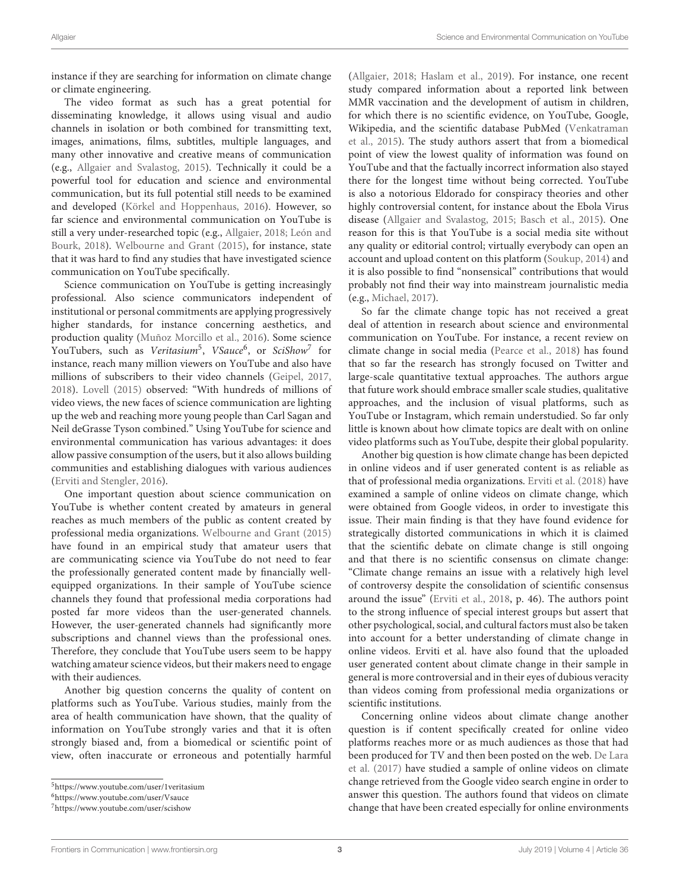instance if they are searching for information on climate change or climate engineering.

The video format as such has a great potential for disseminating knowledge, it allows using visual and audio channels in isolation or both combined for transmitting text, images, animations, films, subtitles, multiple languages, and many other innovative and creative means of communication (e.g., [Allgaier and Svalastog, 2015\)](#page-12-7). Technically it could be a powerful tool for education and science and environmental communication, but its full potential still needs to be examined and developed [\(Körkel and Hoppenhaus, 2016\)](#page-13-9). However, so far science and environmental communication on YouTube is still a very under-researched topic (e.g., [Allgaier, 2018;](#page-12-8) León and Bourk, [2018\)](#page-13-5). [Welbourne and Grant \(2015\)](#page-14-1), for instance, state that it was hard to find any studies that have investigated science communication on YouTube specifically.

Science communication on YouTube is getting increasingly professional. Also science communicators independent of institutional or personal commitments are applying progressively higher standards, for instance concerning aesthetics, and production quality [\(Muñoz Morcillo et al., 2016\)](#page-13-10). Some science YouTubers, such as Veritasium<sup>[5](#page-2-0)</sup>, VSauce<sup>[6](#page-2-1)</sup>, or SciShow<sup>[7](#page-2-2)</sup> for instance, reach many million viewers on YouTube and also have millions of subscribers to their video channels [\(Geipel, 2017,](#page-13-11) [2018\)](#page-13-12). [Lovell \(2015\)](#page-13-13) observed: "With hundreds of millions of video views, the new faces of science communication are lighting up the web and reaching more young people than Carl Sagan and Neil deGrasse Tyson combined." Using YouTube for science and environmental communication has various advantages: it does allow passive consumption of the users, but it also allows building communities and establishing dialogues with various audiences [\(Erviti and Stengler, 2016\)](#page-13-14).

One important question about science communication on YouTube is whether content created by amateurs in general reaches as much members of the public as content created by professional media organizations. [Welbourne and Grant \(2015\)](#page-14-1) have found in an empirical study that amateur users that are communicating science via YouTube do not need to fear the professionally generated content made by financially wellequipped organizations. In their sample of YouTube science channels they found that professional media corporations had posted far more videos than the user-generated channels. However, the user-generated channels had significantly more subscriptions and channel views than the professional ones. Therefore, they conclude that YouTube users seem to be happy watching amateur science videos, but their makers need to engage with their audiences.

Another big question concerns the quality of content on platforms such as YouTube. Various studies, mainly from the area of health communication have shown, that the quality of information on YouTube strongly varies and that it is often strongly biased and, from a biomedical or scientific point of view, often inaccurate or erroneous and potentially harmful [\(Allgaier, 2018;](#page-12-8) [Haslam et al., 2019\)](#page-13-15). For instance, one recent study compared information about a reported link between MMR vaccination and the development of autism in children, for which there is no scientific evidence, on YouTube, Google, Wikipedia, and the scientific database PubMed (Venkatraman et al., [2015\)](#page-14-3). The study authors assert that from a biomedical point of view the lowest quality of information was found on YouTube and that the factually incorrect information also stayed there for the longest time without being corrected. YouTube is also a notorious Eldorado for conspiracy theories and other highly controversial content, for instance about the Ebola Virus disease [\(Allgaier and Svalastog, 2015;](#page-12-7) [Basch et al., 2015\)](#page-12-9). One reason for this is that YouTube is a social media site without any quality or editorial control; virtually everybody can open an account and upload content on this platform [\(Soukup, 2014\)](#page-14-4) and it is also possible to find "nonsensical" contributions that would probably not find their way into mainstream journalistic media (e.g., [Michael, 2017\)](#page-13-16).

So far the climate change topic has not received a great deal of attention in research about science and environmental communication on YouTube. For instance, a recent review on climate change in social media [\(Pearce et al., 2018\)](#page-13-17) has found that so far the research has strongly focused on Twitter and large-scale quantitative textual approaches. The authors argue that future work should embrace smaller scale studies, qualitative approaches, and the inclusion of visual platforms, such as YouTube or Instagram, which remain understudied. So far only little is known about how climate topics are dealt with on online video platforms such as YouTube, despite their global popularity.

Another big question is how climate change has been depicted in online videos and if user generated content is as reliable as that of professional media organizations. [Erviti et al. \(2018\)](#page-13-18) have examined a sample of online videos on climate change, which were obtained from Google videos, in order to investigate this issue. Their main finding is that they have found evidence for strategically distorted communications in which it is claimed that the scientific debate on climate change is still ongoing and that there is no scientific consensus on climate change: "Climate change remains an issue with a relatively high level of controversy despite the consolidation of scientific consensus around the issue" [\(Erviti et al., 2018,](#page-13-18) p. 46). The authors point to the strong influence of special interest groups but assert that other psychological, social, and cultural factors must also be taken into account for a better understanding of climate change in online videos. Erviti et al. have also found that the uploaded user generated content about climate change in their sample in general is more controversial and in their eyes of dubious veracity than videos coming from professional media organizations or scientific institutions.

Concerning online videos about climate change another question is if content specifically created for online video platforms reaches more or as much audiences as those that had been produced for TV and then been posted on the web. De Lara et al. [\(2017\)](#page-13-19) have studied a sample of online videos on climate change retrieved from the Google video search engine in order to answer this question. The authors found that videos on climate change that have been created especially for online environments

<span id="page-2-0"></span><sup>5</sup><https://www.youtube.com/user/1veritasium>

<span id="page-2-1"></span><sup>6</sup><https://www.youtube.com/user/Vsauce>

<span id="page-2-2"></span><sup>7</sup><https://www.youtube.com/user/scishow>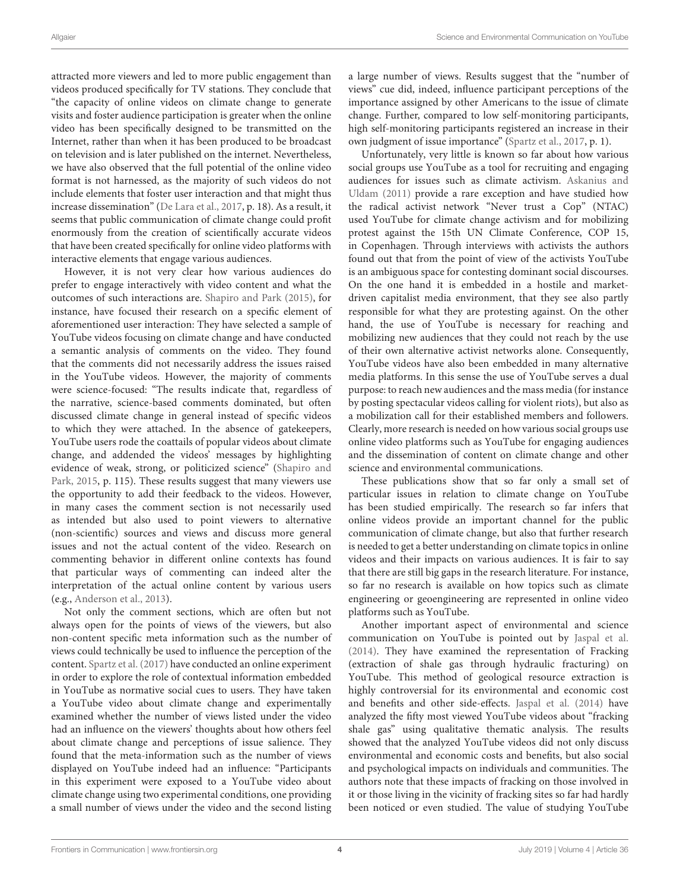attracted more viewers and led to more public engagement than videos produced specifically for TV stations. They conclude that "the capacity of online videos on climate change to generate visits and foster audience participation is greater when the online video has been specifically designed to be transmitted on the Internet, rather than when it has been produced to be broadcast on television and is later published on the internet. Nevertheless, we have also observed that the full potential of the online video format is not harnessed, as the majority of such videos do not include elements that foster user interaction and that might thus increase dissemination" [\(De Lara et al., 2017,](#page-13-19) p. 18). As a result, it seems that public communication of climate change could profit enormously from the creation of scientifically accurate videos that have been created specifically for online video platforms with interactive elements that engage various audiences.

However, it is not very clear how various audiences do prefer to engage interactively with video content and what the outcomes of such interactions are. [Shapiro and Park \(2015\)](#page-14-5), for instance, have focused their research on a specific element of aforementioned user interaction: They have selected a sample of YouTube videos focusing on climate change and have conducted a semantic analysis of comments on the video. They found that the comments did not necessarily address the issues raised in the YouTube videos. However, the majority of comments were science-focused: "The results indicate that, regardless of the narrative, science-based comments dominated, but often discussed climate change in general instead of specific videos to which they were attached. In the absence of gatekeepers, YouTube users rode the coattails of popular videos about climate change, and addended the videos' messages by highlighting evidence of weak, strong, or politicized science" (Shapiro and Park, [2015,](#page-14-5) p. 115). These results suggest that many viewers use the opportunity to add their feedback to the videos. However, in many cases the comment section is not necessarily used as intended but also used to point viewers to alternative (non-scientific) sources and views and discuss more general issues and not the actual content of the video. Research on commenting behavior in different online contexts has found that particular ways of commenting can indeed alter the interpretation of the actual online content by various users (e.g., [Anderson et al., 2013\)](#page-12-10).

Not only the comment sections, which are often but not always open for the points of views of the viewers, but also non-content specific meta information such as the number of views could technically be used to influence the perception of the content. [Spartz et al. \(2017\)](#page-14-6) have conducted an online experiment in order to explore the role of contextual information embedded in YouTube as normative social cues to users. They have taken a YouTube video about climate change and experimentally examined whether the number of views listed under the video had an influence on the viewers' thoughts about how others feel about climate change and perceptions of issue salience. They found that the meta-information such as the number of views displayed on YouTube indeed had an influence: "Participants in this experiment were exposed to a YouTube video about climate change using two experimental conditions, one providing a small number of views under the video and the second listing a large number of views. Results suggest that the "number of views" cue did, indeed, influence participant perceptions of the importance assigned by other Americans to the issue of climate change. Further, compared to low self-monitoring participants, high self-monitoring participants registered an increase in their own judgment of issue importance" [\(Spartz et al., 2017,](#page-14-6) p. 1).

Unfortunately, very little is known so far about how various social groups use YouTube as a tool for recruiting and engaging audiences for issues such as climate activism. Askanius and Uldam [\(2011\)](#page-12-11) provide a rare exception and have studied how the radical activist network "Never trust a Cop" (NTAC) used YouTube for climate change activism and for mobilizing protest against the 15th UN Climate Conference, COP 15, in Copenhagen. Through interviews with activists the authors found out that from the point of view of the activists YouTube is an ambiguous space for contesting dominant social discourses. On the one hand it is embedded in a hostile and marketdriven capitalist media environment, that they see also partly responsible for what they are protesting against. On the other hand, the use of YouTube is necessary for reaching and mobilizing new audiences that they could not reach by the use of their own alternative activist networks alone. Consequently, YouTube videos have also been embedded in many alternative media platforms. In this sense the use of YouTube serves a dual purpose: to reach new audiences and the mass media (for instance by posting spectacular videos calling for violent riots), but also as a mobilization call for their established members and followers. Clearly, more research is needed on how various social groups use online video platforms such as YouTube for engaging audiences and the dissemination of content on climate change and other science and environmental communications.

These publications show that so far only a small set of particular issues in relation to climate change on YouTube has been studied empirically. The research so far infers that online videos provide an important channel for the public communication of climate change, but also that further research is needed to get a better understanding on climate topics in online videos and their impacts on various audiences. It is fair to say that there are still big gaps in the research literature. For instance, so far no research is available on how topics such as climate engineering or geoengineering are represented in online video platforms such as YouTube.

Another important aspect of environmental and science communication on YouTube is pointed out by [Jaspal et al.](#page-13-20) [\(2014\)](#page-13-20). They have examined the representation of Fracking (extraction of shale gas through hydraulic fracturing) on YouTube. This method of geological resource extraction is highly controversial for its environmental and economic cost and benefits and other side-effects. [Jaspal et al. \(2014\)](#page-13-20) have analyzed the fifty most viewed YouTube videos about "fracking shale gas" using qualitative thematic analysis. The results showed that the analyzed YouTube videos did not only discuss environmental and economic costs and benefits, but also social and psychological impacts on individuals and communities. The authors note that these impacts of fracking on those involved in it or those living in the vicinity of fracking sites so far had hardly been noticed or even studied. The value of studying YouTube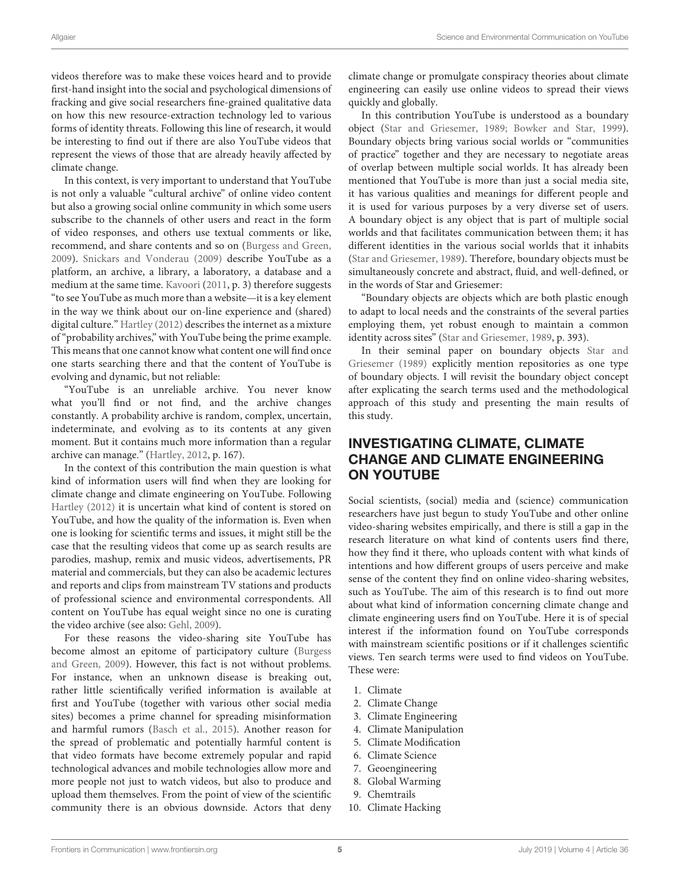forms of identity threats. Following this line of research, it would be interesting to find out if there are also YouTube videos that represent the views of those that are already heavily affected by climate change.

In this context, is very important to understand that YouTube is not only a valuable "cultural archive" of online video content but also a growing social online community in which some users subscribe to the channels of other users and react in the form of video responses, and others use textual comments or like, recommend, and share contents and so on [\(Burgess and Green,](#page-12-12) [2009\)](#page-12-12). [Snickars and Vonderau \(2009\)](#page-14-7) describe YouTube as a platform, an archive, a library, a laboratory, a database and a medium at the same time. [Kavoori](#page-13-21) [\(2011,](#page-13-21) p. 3) therefore suggests "to see YouTube as much more than a website—it is a key element in the way we think about our on-line experience and (shared) digital culture." [Hartley \(2012\)](#page-13-22) describes the internet as a mixture of "probability archives," with YouTube being the prime example. This means that one cannot know what content one will find once one starts searching there and that the content of YouTube is evolving and dynamic, but not reliable:

"YouTube is an unreliable archive. You never know what you'll find or not find, and the archive changes constantly. A probability archive is random, complex, uncertain, indeterminate, and evolving as to its contents at any given moment. But it contains much more information than a regular archive can manage." [\(Hartley, 2012,](#page-13-22) p. 167).

In the context of this contribution the main question is what kind of information users will find when they are looking for climate change and climate engineering on YouTube. Following [Hartley \(2012\)](#page-13-22) it is uncertain what kind of content is stored on YouTube, and how the quality of the information is. Even when one is looking for scientific terms and issues, it might still be the case that the resulting videos that come up as search results are parodies, mashup, remix and music videos, advertisements, PR material and commercials, but they can also be academic lectures and reports and clips from mainstream TV stations and products of professional science and environmental correspondents. All content on YouTube has equal weight since no one is curating the video archive (see also: [Gehl, 2009\)](#page-13-23).

For these reasons the video-sharing site YouTube has become almost an epitome of participatory culture (Burgess and Green, [2009\)](#page-12-12). However, this fact is not without problems. For instance, when an unknown disease is breaking out, rather little scientifically verified information is available at first and YouTube (together with various other social media sites) becomes a prime channel for spreading misinformation and harmful rumors [\(Basch et al., 2015\)](#page-12-9). Another reason for the spread of problematic and potentially harmful content is that video formats have become extremely popular and rapid technological advances and mobile technologies allow more and more people not just to watch videos, but also to produce and upload them themselves. From the point of view of the scientific community there is an obvious downside. Actors that deny climate change or promulgate conspiracy theories about climate engineering can easily use online videos to spread their views quickly and globally.

In this contribution YouTube is understood as a boundary object [\(Star and Griesemer, 1989;](#page-14-8) [Bowker and Star, 1999\)](#page-12-13). Boundary objects bring various social worlds or "communities of practice" together and they are necessary to negotiate areas of overlap between multiple social worlds. It has already been mentioned that YouTube is more than just a social media site, it has various qualities and meanings for different people and it is used for various purposes by a very diverse set of users. A boundary object is any object that is part of multiple social worlds and that facilitates communication between them; it has different identities in the various social worlds that it inhabits [\(Star and Griesemer, 1989\)](#page-14-8). Therefore, boundary objects must be simultaneously concrete and abstract, fluid, and well-defined, or in the words of Star and Griesemer:

"Boundary objects are objects which are both plastic enough to adapt to local needs and the constraints of the several parties employing them, yet robust enough to maintain a common identity across sites" [\(Star and Griesemer, 1989,](#page-14-8) p. 393).

In their seminal paper on boundary objects Star and Griesemer [\(1989\)](#page-14-8) explicitly mention repositories as one type of boundary objects. I will revisit the boundary object concept after explicating the search terms used and the methodological approach of this study and presenting the main results of this study.

# INVESTIGATING CLIMATE, CLIMATE CHANGE AND CLIMATE ENGINEERING ON YOUTUBE

Social scientists, (social) media and (science) communication researchers have just begun to study YouTube and other online video-sharing websites empirically, and there is still a gap in the research literature on what kind of contents users find there, how they find it there, who uploads content with what kinds of intentions and how different groups of users perceive and make sense of the content they find on online video-sharing websites, such as YouTube. The aim of this research is to find out more about what kind of information concerning climate change and climate engineering users find on YouTube. Here it is of special interest if the information found on YouTube corresponds with mainstream scientific positions or if it challenges scientific views. Ten search terms were used to find videos on YouTube. These were:

- 1. Climate
- 2. Climate Change
- 3. Climate Engineering
- 4. Climate Manipulation
- 5. Climate Modification
- 6. Climate Science
- 7. Geoengineering
- 8. Global Warming
- 9. Chemtrails
- 10. Climate Hacking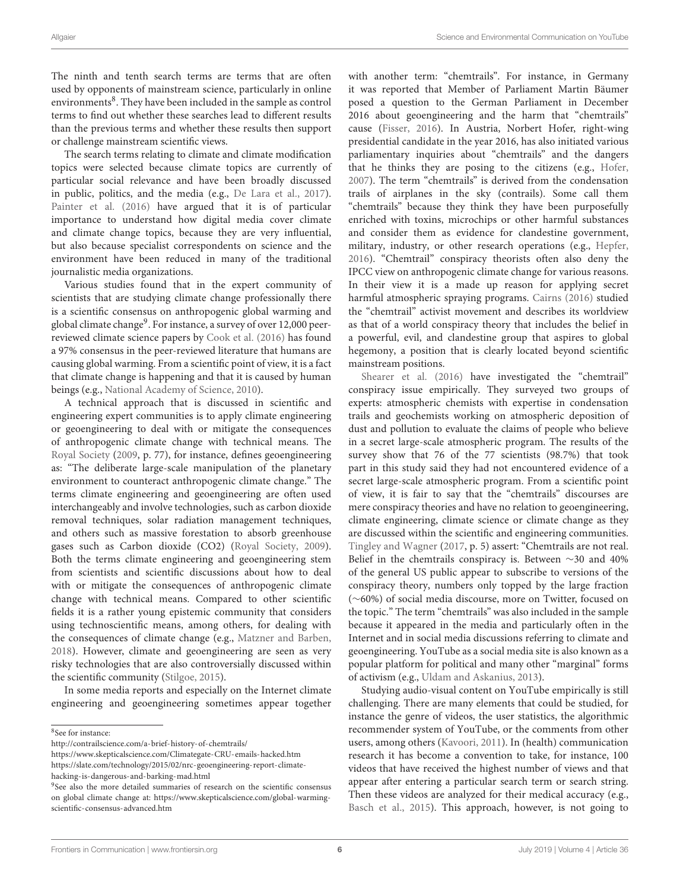The ninth and tenth search terms are terms that are often used by opponents of mainstream science, particularly in online environments<sup>[8](#page-5-0)</sup>. They have been included in the sample as control terms to find out whether these searches lead to different results than the previous terms and whether these results then support or challenge mainstream scientific views.

The search terms relating to climate and climate modification topics were selected because climate topics are currently of particular social relevance and have been broadly discussed in public, politics, and the media (e.g., [De Lara et al., 2017\)](#page-13-19). [Painter et al. \(2016\)](#page-13-24) have argued that it is of particular importance to understand how digital media cover climate and climate change topics, because they are very influential, but also because specialist correspondents on science and the environment have been reduced in many of the traditional journalistic media organizations.

Various studies found that in the expert community of scientists that are studying climate change professionally there is a scientific consensus on anthropogenic global warming and global climate change<sup>[9](#page-5-1)</sup>. For instance, a survey of over 12,000 peerreviewed climate science papers by [Cook et al. \(2016\)](#page-12-14) has found a 97% consensus in the peer-reviewed literature that humans are causing global warming. From a scientific point of view, it is a fact that climate change is happening and that it is caused by human beings (e.g., [National Academy of Science, 2010\)](#page-13-25).

A technical approach that is discussed in scientific and engineering expert communities is to apply climate engineering or geoengineering to deal with or mitigate the consequences of anthropogenic climate change with technical means. The [Royal Society](#page-13-26) [\(2009,](#page-13-26) p. 77), for instance, defines geoengineering as: "The deliberate large-scale manipulation of the planetary environment to counteract anthropogenic climate change." The terms climate engineering and geoengineering are often used interchangeably and involve technologies, such as carbon dioxide removal techniques, solar radiation management techniques, and others such as massive forestation to absorb greenhouse gases such as Carbon dioxide (CO2) [\(Royal Society, 2009\)](#page-13-26). Both the terms climate engineering and geoengineering stem from scientists and scientific discussions about how to deal with or mitigate the consequences of anthropogenic climate change with technical means. Compared to other scientific fields it is a rather young epistemic community that considers using technoscientific means, among others, for dealing with the consequences of climate change (e.g., [Matzner and Barben,](#page-13-27) [2018\)](#page-13-27). However, climate and geoengineering are seen as very risky technologies that are also controversially discussed within the scientific community [\(Stilgoe, 2015\)](#page-14-9).

In some media reports and especially on the Internet climate engineering and geoengineering sometimes appear together

<https://www.skepticalscience.com/Climategate-CRU-emails-hacked.htm>

with another term: "chemtrails". For instance, in Germany it was reported that Member of Parliament Martin Bäumer posed a question to the German Parliament in December 2016 about geoengineering and the harm that "chemtrails" cause [\(Fisser, 2016\)](#page-13-28). In Austria, Norbert Hofer, right-wing presidential candidate in the year 2016, has also initiated various parliamentary inquiries about "chemtrails" and the dangers that he thinks they are posing to the citizens (e.g., [Hofer,](#page-13-29) [2007\)](#page-13-29). The term "chemtrails" is derived from the condensation trails of airplanes in the sky (contrails). Some call them "chemtrails" because they think they have been purposefully enriched with toxins, microchips or other harmful substances and consider them as evidence for clandestine government, military, industry, or other research operations (e.g., [Hepfer,](#page-13-30) [2016\)](#page-13-30). "Chemtrail" conspiracy theorists often also deny the IPCC view on anthropogenic climate change for various reasons. In their view it is a made up reason for applying secret harmful atmospheric spraying programs. [Cairns \(2016\)](#page-12-15) studied the "chemtrail" activist movement and describes its worldview as that of a world conspiracy theory that includes the belief in a powerful, evil, and clandestine group that aspires to global hegemony, a position that is clearly located beyond scientific mainstream positions.

[Shearer et al. \(2016\)](#page-14-10) have investigated the "chemtrail" conspiracy issue empirically. They surveyed two groups of experts: atmospheric chemists with expertise in condensation trails and geochemists working on atmospheric deposition of dust and pollution to evaluate the claims of people who believe in a secret large-scale atmospheric program. The results of the survey show that 76 of the 77 scientists (98.7%) that took part in this study said they had not encountered evidence of a secret large-scale atmospheric program. From a scientific point of view, it is fair to say that the "chemtrails" discourses are mere conspiracy theories and have no relation to geoengineering, climate engineering, climate science or climate change as they are discussed within the scientific and engineering communities. [Tingley and Wagner](#page-14-11) [\(2017,](#page-14-11) p. 5) assert: "Chemtrails are not real. Belief in the chemtrails conspiracy is. Between ∼30 and 40% of the general US public appear to subscribe to versions of the conspiracy theory, numbers only topped by the large fraction (∼60%) of social media discourse, more on Twitter, focused on the topic." The term "chemtrails" was also included in the sample because it appeared in the media and particularly often in the Internet and in social media discussions referring to climate and geoengineering. YouTube as a social media site is also known as a popular platform for political and many other "marginal" forms of activism (e.g., [Uldam and Askanius, 2013\)](#page-14-12).

Studying audio-visual content on YouTube empirically is still challenging. There are many elements that could be studied, for instance the genre of videos, the user statistics, the algorithmic recommender system of YouTube, or the comments from other users, among others [\(Kavoori, 2011\)](#page-13-21). In (health) communication research it has become a convention to take, for instance, 100 videos that have received the highest number of views and that appear after entering a particular search term or search string. Then these videos are analyzed for their medical accuracy (e.g., [Basch et al., 2015\)](#page-12-9). This approach, however, is not going to

<span id="page-5-0"></span><sup>8</sup> See for instance:

<http://contrailscience.com/a-brief-history-of-chemtrails/>

[https://slate.com/technology/2015/02/nrc-geoengineering-report-climate](https://slate.com/technology/2015/02/nrc-geoengineering-report-climate-hacking-is-dangerous-and-barking-mad.html)[hacking-is-dangerous-and-barking-mad.html](https://slate.com/technology/2015/02/nrc-geoengineering-report-climate-hacking-is-dangerous-and-barking-mad.html)

<span id="page-5-1"></span><sup>&</sup>lt;sup>9</sup>See also the more detailed summaries of research on the scientific consensus on global climate change at: [https://www.skepticalscience.com/global-warming](https://www.skepticalscience.com/global-warming-scientific-consensus-advanced.htm)[scientific-consensus-advanced.htm](https://www.skepticalscience.com/global-warming-scientific-consensus-advanced.htm)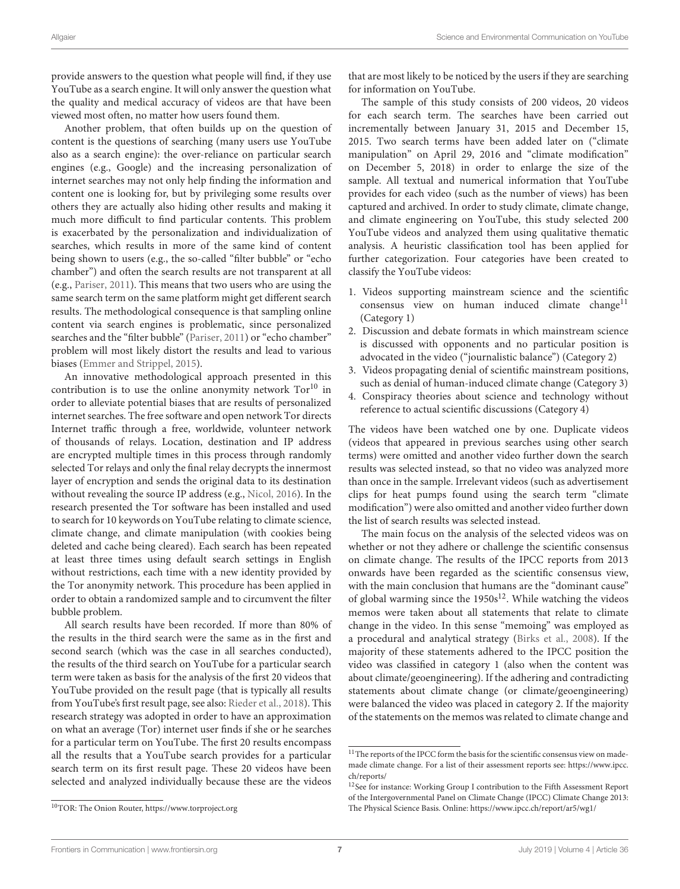provide answers to the question what people will find, if they use YouTube as a search engine. It will only answer the question what the quality and medical accuracy of videos are that have been viewed most often, no matter how users found them.

Another problem, that often builds up on the question of content is the questions of searching (many users use YouTube also as a search engine): the over-reliance on particular search engines (e.g., Google) and the increasing personalization of internet searches may not only help finding the information and content one is looking for, but by privileging some results over others they are actually also hiding other results and making it much more difficult to find particular contents. This problem is exacerbated by the personalization and individualization of searches, which results in more of the same kind of content being shown to users (e.g., the so-called "filter bubble" or "echo chamber") and often the search results are not transparent at all (e.g., [Pariser, 2011\)](#page-13-31). This means that two users who are using the same search term on the same platform might get different search results. The methodological consequence is that sampling online content via search engines is problematic, since personalized searches and the "filter bubble" [\(Pariser, 2011\)](#page-13-31) or "echo chamber" problem will most likely distort the results and lead to various biases [\(Emmer and Strippel, 2015\)](#page-13-32).

An innovative methodological approach presented in this contribution is to use the online anonymity network  $Tor^{10}$  $Tor^{10}$  $Tor^{10}$  in order to alleviate potential biases that are results of personalized internet searches. The free software and open network Tor directs Internet traffic through a free, worldwide, volunteer network of thousands of relays. Location, destination and IP address are encrypted multiple times in this process through randomly selected Tor relays and only the final relay decrypts the innermost layer of encryption and sends the original data to its destination without revealing the source IP address (e.g., [Nicol, 2016\)](#page-13-33). In the research presented the Tor software has been installed and used to search for 10 keywords on YouTube relating to climate science, climate change, and climate manipulation (with cookies being deleted and cache being cleared). Each search has been repeated at least three times using default search settings in English without restrictions, each time with a new identity provided by the Tor anonymity network. This procedure has been applied in order to obtain a randomized sample and to circumvent the filter bubble problem.

All search results have been recorded. If more than 80% of the results in the third search were the same as in the first and second search (which was the case in all searches conducted), the results of the third search on YouTube for a particular search term were taken as basis for the analysis of the first 20 videos that YouTube provided on the result page (that is typically all results from YouTube's first result page, see also: [Rieder et al., 2018\)](#page-13-34). This research strategy was adopted in order to have an approximation on what an average (Tor) internet user finds if she or he searches for a particular term on YouTube. The first 20 results encompass all the results that a YouTube search provides for a particular search term on its first result page. These 20 videos have been selected and analyzed individually because these are the videos that are most likely to be noticed by the users if they are searching for information on YouTube.

The sample of this study consists of 200 videos, 20 videos for each search term. The searches have been carried out incrementally between January 31, 2015 and December 15, 2015. Two search terms have been added later on ("climate manipulation" on April 29, 2016 and "climate modification" on December 5, 2018) in order to enlarge the size of the sample. All textual and numerical information that YouTube provides for each video (such as the number of views) has been captured and archived. In order to study climate, climate change, and climate engineering on YouTube, this study selected 200 YouTube videos and analyzed them using qualitative thematic analysis. A heuristic classification tool has been applied for further categorization. Four categories have been created to classify the YouTube videos:

- 1. Videos supporting mainstream science and the scientific consensus view on human induced climate change<sup>[11](#page-6-1)</sup> (Category 1)
- 2. Discussion and debate formats in which mainstream science is discussed with opponents and no particular position is advocated in the video ("journalistic balance") (Category 2)
- 3. Videos propagating denial of scientific mainstream positions, such as denial of human-induced climate change (Category 3)
- 4. Conspiracy theories about science and technology without reference to actual scientific discussions (Category 4)

The videos have been watched one by one. Duplicate videos (videos that appeared in previous searches using other search terms) were omitted and another video further down the search results was selected instead, so that no video was analyzed more than once in the sample. Irrelevant videos (such as advertisement clips for heat pumps found using the search term "climate modification") were also omitted and another video further down the list of search results was selected instead.

The main focus on the analysis of the selected videos was on whether or not they adhere or challenge the scientific consensus on climate change. The results of the IPCC reports from 2013 onwards have been regarded as the scientific consensus view, with the main conclusion that humans are the "dominant cause" of global warming since the  $1950s^{12}$  $1950s^{12}$  $1950s^{12}$ . While watching the videos memos were taken about all statements that relate to climate change in the video. In this sense "memoing" was employed as a procedural and analytical strategy [\(Birks et al., 2008\)](#page-12-16). If the majority of these statements adhered to the IPCC position the video was classified in category 1 (also when the content was about climate/geoengineering). If the adhering and contradicting statements about climate change (or climate/geoengineering) were balanced the video was placed in category 2. If the majority of the statements on the memos was related to climate change and

<span id="page-6-1"></span> $^{11}\mathrm{The}$  reports of the IPCC form the basis for the scientific consensus view on mademade climate change. For a list of their assessment reports see: [https://www.ipcc.](https://www.ipcc.ch/reports/) [ch/reports/](https://www.ipcc.ch/reports/)

<span id="page-6-2"></span><sup>&</sup>lt;sup>12</sup>See for instance: Working Group I contribution to the Fifth Assessment Report of the Intergovernmental Panel on Climate Change (IPCC) Climate Change 2013: The Physical Science Basis. Online:<https://www.ipcc.ch/report/ar5/wg1/>

<span id="page-6-0"></span><sup>10</sup>TOR: The Onion Router,<https://www.torproject.org>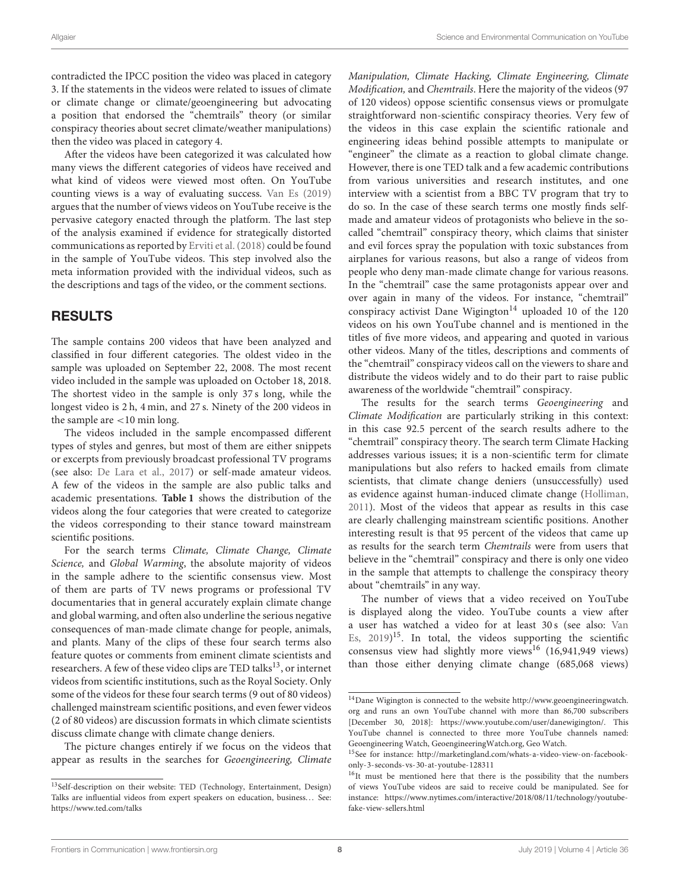contradicted the IPCC position the video was placed in category 3. If the statements in the videos were related to issues of climate or climate change or climate/geoengineering but advocating a position that endorsed the "chemtrails" theory (or similar conspiracy theories about secret climate/weather manipulations) then the video was placed in category 4.

After the videos have been categorized it was calculated how many views the different categories of videos have received and what kind of videos were viewed most often. On YouTube counting views is a way of evaluating success. [Van Es \(2019\)](#page-14-13) argues that the number of views videos on YouTube receive is the pervasive category enacted through the platform. The last step of the analysis examined if evidence for strategically distorted communications as reported by [Erviti et al. \(2018\)](#page-13-18) could be found in the sample of YouTube videos. This step involved also the meta information provided with the individual videos, such as the descriptions and tags of the video, or the comment sections.

# RESULTS

The sample contains 200 videos that have been analyzed and classified in four different categories. The oldest video in the sample was uploaded on September 22, 2008. The most recent video included in the sample was uploaded on October 18, 2018. The shortest video in the sample is only 37 s long, while the longest video is 2 h, 4 min, and 27 s. Ninety of the 200 videos in the sample are <10 min long.

The videos included in the sample encompassed different types of styles and genres, but most of them are either snippets or excerpts from previously broadcast professional TV programs (see also: [De Lara et al., 2017\)](#page-13-19) or self-made amateur videos. A few of the videos in the sample are also public talks and academic presentations. **[Table 1](#page-8-0)** shows the distribution of the videos along the four categories that were created to categorize the videos corresponding to their stance toward mainstream scientific positions.

For the search terms Climate, Climate Change, Climate Science, and Global Warming, the absolute majority of videos in the sample adhere to the scientific consensus view. Most of them are parts of TV news programs or professional TV documentaries that in general accurately explain climate change and global warming, and often also underline the serious negative consequences of man-made climate change for people, animals, and plants. Many of the clips of these four search terms also feature quotes or comments from eminent climate scientists and researchers. A few of these video clips are TED talks<sup>[13](#page-7-0)</sup>, or internet videos from scientific institutions, such as the Royal Society. Only some of the videos for these four search terms (9 out of 80 videos) challenged mainstream scientific positions, and even fewer videos (2 of 80 videos) are discussion formats in which climate scientists discuss climate change with climate change deniers.

The picture changes entirely if we focus on the videos that appear as results in the searches for Geoengineering, Climate Manipulation, Climate Hacking, Climate Engineering, Climate Modification, and Chemtrails. Here the majority of the videos (97 of 120 videos) oppose scientific consensus views or promulgate straightforward non-scientific conspiracy theories. Very few of the videos in this case explain the scientific rationale and engineering ideas behind possible attempts to manipulate or "engineer" the climate as a reaction to global climate change. However, there is one TED talk and a few academic contributions from various universities and research institutes, and one interview with a scientist from a BBC TV program that try to do so. In the case of these search terms one mostly finds selfmade and amateur videos of protagonists who believe in the socalled "chemtrail" conspiracy theory, which claims that sinister and evil forces spray the population with toxic substances from airplanes for various reasons, but also a range of videos from people who deny man-made climate change for various reasons. In the "chemtrail" case the same protagonists appear over and over again in many of the videos. For instance, "chemtrail" conspiracy activist Dane Wigington<sup>[14](#page-7-1)</sup> uploaded 10 of the 120 videos on his own YouTube channel and is mentioned in the titles of five more videos, and appearing and quoted in various other videos. Many of the titles, descriptions and comments of the "chemtrail" conspiracy videos call on the viewers to share and distribute the videos widely and to do their part to raise public awareness of the worldwide "chemtrail" conspiracy.

The results for the search terms Geoengineering and Climate Modification are particularly striking in this context: in this case 92.5 percent of the search results adhere to the "chemtrail" conspiracy theory. The search term Climate Hacking addresses various issues; it is a non-scientific term for climate manipulations but also refers to hacked emails from climate scientists, that climate change deniers (unsuccessfully) used as evidence against human-induced climate change [\(Holliman,](#page-13-35) [2011\)](#page-13-35). Most of the videos that appear as results in this case are clearly challenging mainstream scientific positions. Another interesting result is that 95 percent of the videos that came up as results for the search term Chemtrails were from users that believe in the "chemtrail" conspiracy and there is only one video in the sample that attempts to challenge the conspiracy theory about "chemtrails" in any way.

The number of views that a video received on YouTube is displayed along the video. YouTube counts a view after a user has watched a video for at least 30 s (see also: Van Es, [2019\)](#page-14-13)<sup>[15](#page-7-2)</sup>. In total, the videos supporting the scientific consensus view had slightly more views<sup>[16](#page-7-3)</sup> (16,941,949 views) than those either denying climate change (685,068 views)

<span id="page-7-0"></span><sup>13</sup>Self-description on their website: TED (Technology, Entertainment, Design) Talks are influential videos from expert speakers on education, business... See: <https://www.ted.com/talks>

<span id="page-7-1"></span> $^{14}\rm{Dane}$  Wigington is connected to the website [http://www.geoengineeringwatch.](http://www.geoengineeringwatch.org) [org](http://www.geoengineeringwatch.org) and runs an own YouTube channel with more than 86,700 subscribers [December 30, 2018]: [https://www.youtube.com/user/danewigington/.](https://www.youtube.com/user/danewigington/) This YouTube channel is connected to three more YouTube channels named: Geoengineering Watch, GeoengineeringWatch.org, Geo Watch.

<span id="page-7-2"></span><sup>15</sup>See for instance: [http://marketingland.com/whats-a-video-view-on-facebook](http://marketingland.com/whats-a-video-view-on-facebook-only-3-seconds-vs-30-at-youtube-128311)[only-3-seconds-vs-30-at-youtube-128311](http://marketingland.com/whats-a-video-view-on-facebook-only-3-seconds-vs-30-at-youtube-128311)

<span id="page-7-3"></span><sup>&</sup>lt;sup>16</sup>It must be mentioned here that there is the possibility that the numbers of views YouTube videos are said to receive could be manipulated. See for instance: [https://www.nytimes.com/interactive/2018/08/11/technology/youtube](https://www.nytimes.com/interactive/2018/08/11/technology/youtube-fake-view-sellers.html)[fake-view-sellers.html](https://www.nytimes.com/interactive/2018/08/11/technology/youtube-fake-view-sellers.html)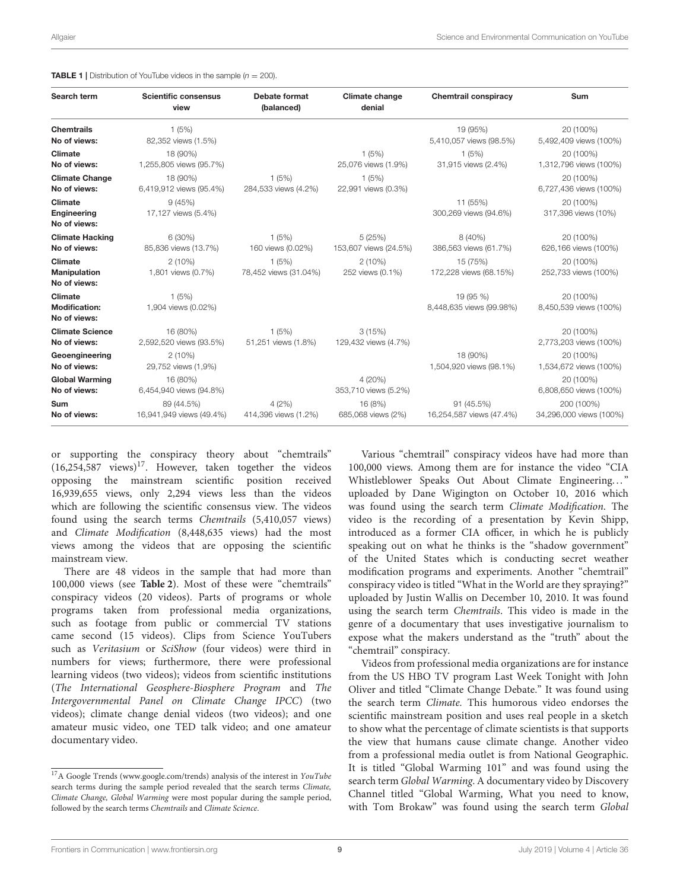### <span id="page-8-0"></span>**TABLE 1** | Distribution of YouTube videos in the sample  $(n = 200)$ .

| Search term                                            | <b>Scientific consensus</b><br>view    | <b>Debate format</b><br>(balanced) | Climate change<br>denial        | <b>Chemtrail conspiracy</b>            | Sum                                   |
|--------------------------------------------------------|----------------------------------------|------------------------------------|---------------------------------|----------------------------------------|---------------------------------------|
| <b>Chemtrails</b><br>No of views:                      | 1(5%)<br>82,352 views (1.5%)           |                                    |                                 | 19 (95%)<br>5,410,057 views (98.5%)    | 20 (100%)<br>5,492,409 views (100%)   |
| Climate<br>No of views:                                | 18 (90%)<br>1,255,805 views (95.7%)    |                                    | 1(5%)<br>25,076 views (1.9%)    | 1(5%)<br>31,915 views (2.4%)           | 20 (100%)<br>1,312,796 views (100%)   |
| <b>Climate Change</b><br>No of views:                  | 18 (90%)<br>6,419,912 views (95.4%)    | 1(5%)<br>284,533 views (4.2%)      | 1(5%)<br>22,991 views (0.3%)    |                                        | 20 (100%)<br>6,727,436 views (100%)   |
| <b>Climate</b><br><b>Engineering</b><br>No of views:   | 9(45%)<br>17,127 views (5.4%)          |                                    |                                 | 11 (55%)<br>300,269 views (94.6%)      | 20 (100%)<br>317,396 views (10%)      |
| <b>Climate Hacking</b><br>No of views:                 | 6 (30%)<br>85,836 views (13.7%)        | 1(5%)<br>160 views (0.02%)         | 5(25%)<br>153,607 views (24.5%) | 8 (40%)<br>386,563 views (61.7%)       | 20 (100%)<br>626,166 views (100%)     |
| Climate<br><b>Manipulation</b><br>No of views:         | 2(10%)<br>1,801 views (0.7%)           | 1(5%)<br>78,452 views (31.04%)     | $2(10\%)$<br>252 views (0.1%)   | 15 (75%)<br>172,228 views (68.15%)     | 20 (100%)<br>252,733 views (100%)     |
| <b>Climate</b><br><b>Modification:</b><br>No of views: | 1(5%)<br>1,904 views (0.02%)           |                                    |                                 | 19 (95 %)<br>8,448,635 views (99.98%)  | 20 (100%)<br>8,450,539 views (100%)   |
| <b>Climate Science</b><br>No of views:                 | 16 (80%)<br>2,592,520 views (93.5%)    | 1(5%)<br>51,251 views (1.8%)       | 3(15%)<br>129,432 views (4.7%)  |                                        | 20 (100%)<br>2,773,203 views (100%)   |
| Geoengineering<br>No of views:                         | $2(10\%)$<br>29,752 views (1,9%)       |                                    |                                 | 18 (90%)<br>1,504,920 views (98.1%)    | 20 (100%)<br>1,534,672 views (100%)   |
| <b>Global Warming</b><br>No of views:                  | 16 (80%)<br>6,454,940 views (94.8%)    |                                    | 4 (20%)<br>353,710 views (5.2%) |                                        | 20 (100%)<br>6,808,650 views (100%)   |
| Sum<br>No of views:                                    | 89 (44.5%)<br>16,941,949 views (49.4%) | 4(2%)<br>414,396 views (1.2%)      | 16 (8%)<br>685,068 views (2%)   | 91 (45.5%)<br>16,254,587 views (47.4%) | 200 (100%)<br>34,296,000 views (100%) |

or supporting the conspiracy theory about "chemtrails"  $(16,254,587$  views)<sup>[17](#page-8-1)</sup>. However, taken together the videos opposing the mainstream scientific position received 16,939,655 views, only 2,294 views less than the videos which are following the scientific consensus view. The videos found using the search terms Chemtrails (5,410,057 views) and Climate Modification (8,448,635 views) had the most views among the videos that are opposing the scientific mainstream view.

There are 48 videos in the sample that had more than 100,000 views (see **[Table 2](#page-9-0)**). Most of these were "chemtrails" conspiracy videos (20 videos). Parts of programs or whole programs taken from professional media organizations, such as footage from public or commercial TV stations came second (15 videos). Clips from Science YouTubers such as Veritasium or SciShow (four videos) were third in numbers for views; furthermore, there were professional learning videos (two videos); videos from scientific institutions (The International Geosphere-Biosphere Program and The Intergovernmental Panel on Climate Change IPCC) (two videos); climate change denial videos (two videos); and one amateur music video, one TED talk video; and one amateur documentary video.

Various "chemtrail" conspiracy videos have had more than 100,000 views. Among them are for instance the video "CIA Whistleblower Speaks Out About Climate Engineering..." uploaded by Dane Wigington on October 10, 2016 which was found using the search term Climate Modification. The video is the recording of a presentation by Kevin Shipp, introduced as a former CIA officer, in which he is publicly speaking out on what he thinks is the "shadow government" of the United States which is conducting secret weather modification programs and experiments. Another "chemtrail" conspiracy video is titled "What in the World are they spraying?" uploaded by Justin Wallis on December 10, 2010. It was found using the search term Chemtrails. This video is made in the genre of a documentary that uses investigative journalism to expose what the makers understand as the "truth" about the "chemtrail" conspiracy.

Videos from professional media organizations are for instance from the US HBO TV program Last Week Tonight with John Oliver and titled "Climate Change Debate." It was found using the search term Climate. This humorous video endorses the scientific mainstream position and uses real people in a sketch to show what the percentage of climate scientists is that supports the view that humans cause climate change. Another video from a professional media outlet is from National Geographic. It is titled "Global Warming 101" and was found using the search term Global Warming. A documentary video by Discovery Channel titled "Global Warming, What you need to know, with Tom Brokaw" was found using the search term Global

<span id="page-8-1"></span> $^{17}{\rm A}$  Google Trends [\(www.google.com/trends\)](www.google.com/trends) analysis of the interest in  $YouTube$ search terms during the sample period revealed that the search terms Climate, Climate Change, Global Warming were most popular during the sample period, followed by the search terms Chemtrails and Climate Science.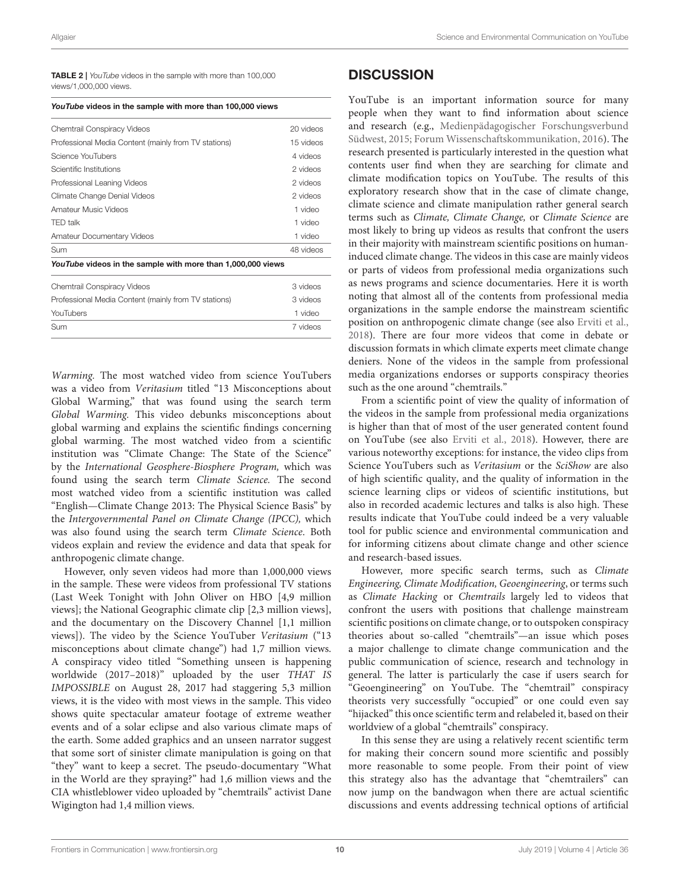<span id="page-9-0"></span>TABLE 2 | *YouTube* videos in the sample with more than 100,000 views/1,000,000 views.

| YouTube videos in the sample with more than 100,000 views |
|-----------------------------------------------------------|
|-----------------------------------------------------------|

| Chemtrail Conspiracy Videos                                 | 20 videos |
|-------------------------------------------------------------|-----------|
| Professional Media Content (mainly from TV stations)        | 15 videos |
| Science YouTubers                                           | 4 videos  |
| Scientific Institutions                                     | 2 videos  |
| Professional Leaning Videos                                 | 2 videos  |
| Climate Change Denial Videos                                | 2 videos  |
| Amateur Music Videos                                        | 1 video   |
| <b>TED talk</b>                                             | 1 video   |
| <b>Amateur Documentary Videos</b>                           | 1 video   |
| Sum                                                         | 48 videos |
| YouTube videos in the sample with more than 1,000,000 views |           |
| Chemtrail Conspiracy Videos                                 | 3 videos  |
| Professional Media Content (mainly from TV stations)        | 3 videos  |
| YouTubers                                                   | 1 video   |
| Sum                                                         | 7 videos  |

Warming. The most watched video from science YouTubers was a video from Veritasium titled "13 Misconceptions about Global Warming," that was found using the search term Global Warming. This video debunks misconceptions about global warming and explains the scientific findings concerning global warming. The most watched video from a scientific institution was "Climate Change: The State of the Science" by the International Geosphere-Biosphere Program, which was found using the search term Climate Science. The second most watched video from a scientific institution was called "English—Climate Change 2013: The Physical Science Basis" by the Intergovernmental Panel on Climate Change (IPCC), which was also found using the search term Climate Science. Both videos explain and review the evidence and data that speak for anthropogenic climate change.

However, only seven videos had more than 1,000,000 views in the sample. These were videos from professional TV stations (Last Week Tonight with John Oliver on HBO [4,9 million views]; the National Geographic climate clip [2,3 million views], and the documentary on the Discovery Channel [1,1 million views]). The video by the Science YouTuber Veritasium ("13 misconceptions about climate change") had 1,7 million views. A conspiracy video titled "Something unseen is happening worldwide (2017–2018)" uploaded by the user THAT IS IMPOSSIBLE on August 28, 2017 had staggering 5,3 million views, it is the video with most views in the sample. This video shows quite spectacular amateur footage of extreme weather events and of a solar eclipse and also various climate maps of the earth. Some added graphics and an unseen narrator suggest that some sort of sinister climate manipulation is going on that "they" want to keep a secret. The pseudo-documentary "What in the World are they spraying?" had 1,6 million views and the CIA whistleblower video uploaded by "chemtrails" activist Dane Wigington had 1,4 million views.

### **DISCUSSION**

YouTube is an important information source for many people when they want to find information about science and research (e.g., Medienpädagogischer Forschungsverbund Südwest, [2015;](#page-13-7) [Forum Wissenschaftskommunikation, 2016\)](#page-13-8). The research presented is particularly interested in the question what contents user find when they are searching for climate and climate modification topics on YouTube. The results of this exploratory research show that in the case of climate change, climate science and climate manipulation rather general search terms such as Climate, Climate Change, or Climate Science are most likely to bring up videos as results that confront the users in their majority with mainstream scientific positions on humaninduced climate change. The videos in this case are mainly videos or parts of videos from professional media organizations such as news programs and science documentaries. Here it is worth noting that almost all of the contents from professional media organizations in the sample endorse the mainstream scientific position on anthropogenic climate change (see also [Erviti et al.,](#page-13-18) [2018\)](#page-13-18). There are four more videos that come in debate or discussion formats in which climate experts meet climate change deniers. None of the videos in the sample from professional media organizations endorses or supports conspiracy theories such as the one around "chemtrails."

From a scientific point of view the quality of information of the videos in the sample from professional media organizations is higher than that of most of the user generated content found on YouTube (see also [Erviti et al., 2018\)](#page-13-18). However, there are various noteworthy exceptions: for instance, the video clips from Science YouTubers such as Veritasium or the SciShow are also of high scientific quality, and the quality of information in the science learning clips or videos of scientific institutions, but also in recorded academic lectures and talks is also high. These results indicate that YouTube could indeed be a very valuable tool for public science and environmental communication and for informing citizens about climate change and other science and research-based issues.

However, more specific search terms, such as Climate Engineering, Climate Modification, Geoengineering, or terms such as Climate Hacking or Chemtrails largely led to videos that confront the users with positions that challenge mainstream scientific positions on climate change, or to outspoken conspiracy theories about so-called "chemtrails"—an issue which poses a major challenge to climate change communication and the public communication of science, research and technology in general. The latter is particularly the case if users search for "Geoengineering" on YouTube. The "chemtrail" conspiracy theorists very successfully "occupied" or one could even say "hijacked" this once scientific term and relabeled it, based on their worldview of a global "chemtrails" conspiracy.

In this sense they are using a relatively recent scientific term for making their concern sound more scientific and possibly more reasonable to some people. From their point of view this strategy also has the advantage that "chemtrailers" can now jump on the bandwagon when there are actual scientific discussions and events addressing technical options of artificial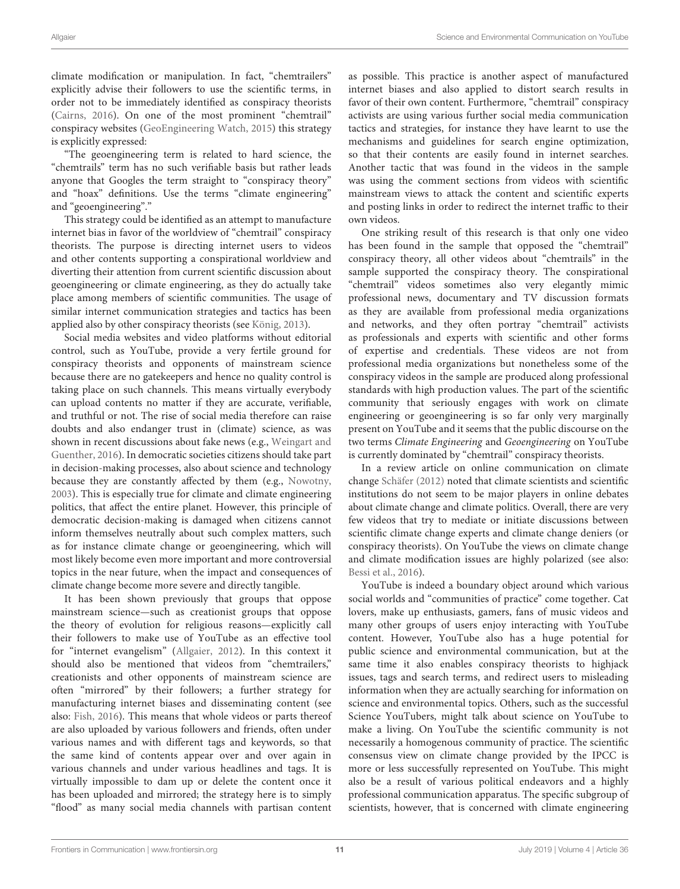climate modification or manipulation. In fact, "chemtrailers" explicitly advise their followers to use the scientific terms, in order not to be immediately identified as conspiracy theorists [\(Cairns, 2016\)](#page-12-15). On one of the most prominent "chemtrail" conspiracy websites [\(GeoEngineering Watch, 2015\)](#page-13-36) this strategy is explicitly expressed:

"The geoengineering term is related to hard science, the "chemtrails" term has no such verifiable basis but rather leads anyone that Googles the term straight to "conspiracy theory" and "hoax" definitions. Use the terms "climate engineering" and "geoengineering"."

This strategy could be identified as an attempt to manufacture internet bias in favor of the worldview of "chemtrail" conspiracy theorists. The purpose is directing internet users to videos and other contents supporting a conspirational worldview and diverting their attention from current scientific discussion about geoengineering or climate engineering, as they do actually take place among members of scientific communities. The usage of similar internet communication strategies and tactics has been applied also by other conspiracy theorists (see [König, 2013\)](#page-13-37).

Social media websites and video platforms without editorial control, such as YouTube, provide a very fertile ground for conspiracy theorists and opponents of mainstream science because there are no gatekeepers and hence no quality control is taking place on such channels. This means virtually everybody can upload contents no matter if they are accurate, verifiable, and truthful or not. The rise of social media therefore can raise doubts and also endanger trust in (climate) science, as was shown in recent discussions about fake news (e.g., Weingart and Guenther, [2016\)](#page-14-14). In democratic societies citizens should take part in decision-making processes, also about science and technology because they are constantly affected by them (e.g., [Nowotny,](#page-13-38) [2003\)](#page-13-38). This is especially true for climate and climate engineering politics, that affect the entire planet. However, this principle of democratic decision-making is damaged when citizens cannot inform themselves neutrally about such complex matters, such as for instance climate change or geoengineering, which will most likely become even more important and more controversial topics in the near future, when the impact and consequences of climate change become more severe and directly tangible.

It has been shown previously that groups that oppose mainstream science—such as creationist groups that oppose the theory of evolution for religious reasons—explicitly call their followers to make use of YouTube as an effective tool for "internet evangelism" [\(Allgaier, 2012\)](#page-12-17). In this context it should also be mentioned that videos from "chemtrailers," creationists and other opponents of mainstream science are often "mirrored" by their followers; a further strategy for manufacturing internet biases and disseminating content (see also: [Fish, 2016\)](#page-13-39). This means that whole videos or parts thereof are also uploaded by various followers and friends, often under various names and with different tags and keywords, so that the same kind of contents appear over and over again in various channels and under various headlines and tags. It is virtually impossible to dam up or delete the content once it has been uploaded and mirrored; the strategy here is to simply "flood" as many social media channels with partisan content

as possible. This practice is another aspect of manufactured internet biases and also applied to distort search results in favor of their own content. Furthermore, "chemtrail" conspiracy activists are using various further social media communication tactics and strategies, for instance they have learnt to use the mechanisms and guidelines for search engine optimization, so that their contents are easily found in internet searches. Another tactic that was found in the videos in the sample was using the comment sections from videos with scientific mainstream views to attack the content and scientific experts and posting links in order to redirect the internet traffic to their own videos.

One striking result of this research is that only one video has been found in the sample that opposed the "chemtrail" conspiracy theory, all other videos about "chemtrails" in the sample supported the conspiracy theory. The conspirational "chemtrail" videos sometimes also very elegantly mimic professional news, documentary and TV discussion formats as they are available from professional media organizations and networks, and they often portray "chemtrail" activists as professionals and experts with scientific and other forms of expertise and credentials. These videos are not from professional media organizations but nonetheless some of the conspiracy videos in the sample are produced along professional standards with high production values. The part of the scientific community that seriously engages with work on climate engineering or geoengineering is so far only very marginally present on YouTube and it seems that the public discourse on the two terms Climate Engineering and Geoengineering on YouTube is currently dominated by "chemtrail" conspiracy theorists.

In a review article on online communication on climate change [Schäfer \(2012\)](#page-14-15) noted that climate scientists and scientific institutions do not seem to be major players in online debates about climate change and climate politics. Overall, there are very few videos that try to mediate or initiate discussions between scientific climate change experts and climate change deniers (or conspiracy theorists). On YouTube the views on climate change and climate modification issues are highly polarized (see also: [Bessi et al., 2016\)](#page-12-18).

YouTube is indeed a boundary object around which various social worlds and "communities of practice" come together. Cat lovers, make up enthusiasts, gamers, fans of music videos and many other groups of users enjoy interacting with YouTube content. However, YouTube also has a huge potential for public science and environmental communication, but at the same time it also enables conspiracy theorists to highjack issues, tags and search terms, and redirect users to misleading information when they are actually searching for information on science and environmental topics. Others, such as the successful Science YouTubers, might talk about science on YouTube to make a living. On YouTube the scientific community is not necessarily a homogenous community of practice. The scientific consensus view on climate change provided by the IPCC is more or less successfully represented on YouTube. This might also be a result of various political endeavors and a highly professional communication apparatus. The specific subgroup of scientists, however, that is concerned with climate engineering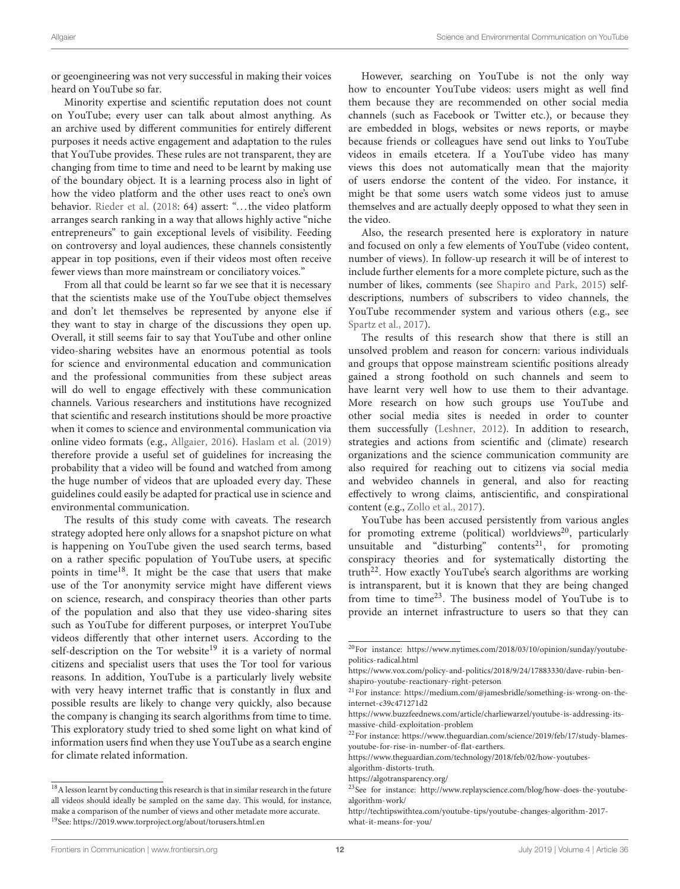or geoengineering was not very successful in making their voices heard on YouTube so far.

Minority expertise and scientific reputation does not count on YouTube; every user can talk about almost anything. As an archive used by different communities for entirely different purposes it needs active engagement and adaptation to the rules that YouTube provides. These rules are not transparent, they are changing from time to time and need to be learnt by making use of the boundary object. It is a learning process also in light of how the video platform and the other uses react to one's own behavior. [Rieder et al.](#page-13-34) [\(2018:](#page-13-34) 64) assert: "... the video platform arranges search ranking in a way that allows highly active "niche entrepreneurs" to gain exceptional levels of visibility. Feeding on controversy and loyal audiences, these channels consistently appear in top positions, even if their videos most often receive fewer views than more mainstream or conciliatory voices."

From all that could be learnt so far we see that it is necessary that the scientists make use of the YouTube object themselves and don't let themselves be represented by anyone else if they want to stay in charge of the discussions they open up. Overall, it still seems fair to say that YouTube and other online video-sharing websites have an enormous potential as tools for science and environmental education and communication and the professional communities from these subject areas will do well to engage effectively with these communication channels. Various researchers and institutions have recognized that scientific and research institutions should be more proactive when it comes to science and environmental communication via online video formats (e.g., [Allgaier, 2016\)](#page-12-4). [Haslam et al. \(2019\)](#page-13-15) therefore provide a useful set of guidelines for increasing the probability that a video will be found and watched from among the huge number of videos that are uploaded every day. These guidelines could easily be adapted for practical use in science and environmental communication.

The results of this study come with caveats. The research strategy adopted here only allows for a snapshot picture on what is happening on YouTube given the used search terms, based on a rather specific population of YouTube users, at specific points in time[18](#page-11-0). It might be the case that users that make use of the Tor anonymity service might have different views on science, research, and conspiracy theories than other parts of the population and also that they use video-sharing sites such as YouTube for different purposes, or interpret YouTube videos differently that other internet users. According to the self-description on the Tor website<sup>[19](#page-11-1)</sup> it is a variety of normal citizens and specialist users that uses the Tor tool for various reasons. In addition, YouTube is a particularly lively website with very heavy internet traffic that is constantly in flux and possible results are likely to change very quickly, also because the company is changing its search algorithms from time to time. This exploratory study tried to shed some light on what kind of information users find when they use YouTube as a search engine for climate related information.

However, searching on YouTube is not the only way how to encounter YouTube videos: users might as well find them because they are recommended on other social media channels (such as Facebook or Twitter etc.), or because they are embedded in blogs, websites or news reports, or maybe because friends or colleagues have send out links to YouTube videos in emails etcetera. If a YouTube video has many views this does not automatically mean that the majority of users endorse the content of the video. For instance, it might be that some users watch some videos just to amuse themselves and are actually deeply opposed to what they seen in the video.

Also, the research presented here is exploratory in nature and focused on only a few elements of YouTube (video content, number of views). In follow-up research it will be of interest to include further elements for a more complete picture, such as the number of likes, comments (see [Shapiro and Park, 2015\)](#page-14-5) selfdescriptions, numbers of subscribers to video channels, the YouTube recommender system and various others (e.g., see [Spartz et al., 2017\)](#page-14-6).

The results of this research show that there is still an unsolved problem and reason for concern: various individuals and groups that oppose mainstream scientific positions already gained a strong foothold on such channels and seem to have learnt very well how to use them to their advantage. More research on how such groups use YouTube and other social media sites is needed in order to counter them successfully [\(Leshner, 2012\)](#page-13-40). In addition to research, strategies and actions from scientific and (climate) research organizations and the science communication community are also required for reaching out to citizens via social media and webvideo channels in general, and also for reacting effectively to wrong claims, antiscientific, and conspirational content (e.g., [Zollo et al., 2017\)](#page-14-16).

YouTube has been accused persistently from various angles for promoting extreme (political) worldviews<sup>[20](#page-11-2)</sup>, particularly unsuitable and "disturbing" contents<sup>[21](#page-11-3)</sup>, for promoting conspiracy theories and for systematically distorting the truth<sup>[22](#page-11-4)</sup>. How exactly YouTube's search algorithms are working is intransparent, but it is known that they are being changed from time to time[23](#page-11-5). The business model of YouTube is to provide an internet infrastructure to users so that they can

<span id="page-11-1"></span><span id="page-11-0"></span> $^{18}\mathrm{A}$  lesson learnt by conducting this research is that in similar research in the future all videos should ideally be sampled on the same day. This would, for instance, make a comparison of the number of views and other metadate more accurate. <sup>19</sup>See:<https://2019.www.torproject.org/about/torusers.html.en>

<span id="page-11-2"></span><sup>20</sup>For instance: [https://www.nytimes.com/2018/03/10/opinion/sunday/youtube](https://www.nytimes.com/2018/03/10/opinion/sunday/youtube-politics-radical.html)[politics-radical.html](https://www.nytimes.com/2018/03/10/opinion/sunday/youtube-politics-radical.html)

[https://www.vox.com/policy-and-politics/2018/9/24/17883330/dave-rubin-ben](https://www.vox.com/policy-and-politics/2018/9/24/17883330/dave-rubin-ben-shapiro-youtube-reactionary-right-peterson)[shapiro-youtube-reactionary-right-peterson](https://www.vox.com/policy-and-politics/2018/9/24/17883330/dave-rubin-ben-shapiro-youtube-reactionary-right-peterson)

<span id="page-11-3"></span><sup>21</sup>For instance: [https://medium.com/@jamesbridle/something-is-wrong-on-the](https://medium.com/@jamesbridle/something-is-wrong-on-the-internet-c39c471271d2)[internet-c39c471271d2](https://medium.com/@jamesbridle/something-is-wrong-on-the-internet-c39c471271d2)

[https://www.buzzfeednews.com/article/charliewarzel/youtube-is-addressing-its](https://www.buzzfeednews.com/article/charliewarzel/youtube-is-addressing-its-massive-child-exploitation-problem)[massive-child-exploitation-problem](https://www.buzzfeednews.com/article/charliewarzel/youtube-is-addressing-its-massive-child-exploitation-problem)

<span id="page-11-4"></span><sup>22</sup>For instance: [https://www.theguardian.com/science/2019/feb/17/study-blames](https://www.theguardian.com/science/2019/feb/17/study-blames-youtube-for-rise-in-number-of-flat-earthers)[youtube-for-rise-in-number-of-flat-earthers.](https://www.theguardian.com/science/2019/feb/17/study-blames-youtube-for-rise-in-number-of-flat-earthers)

[https://www.theguardian.com/technology/2018/feb/02/how-youtubes-](https://www.theguardian.com/technology/2018/feb/02/how-youtubes-algorithm-distorts-truth)

[algorithm-distorts-truth.](https://www.theguardian.com/technology/2018/feb/02/how-youtubes-algorithm-distorts-truth) <https://algotransparency.org/>

<span id="page-11-5"></span><sup>23</sup>See for instance: [http://www.replayscience.com/blog/how-does-the-youtube](http://www.replayscience.com/blog/how-does-the-youtube-algorithm-work/)[algorithm-work/](http://www.replayscience.com/blog/how-does-the-youtube-algorithm-work/)

[http://techtipswithtea.com/youtube-tips/youtube-changes-algorithm-2017](http://techtipswithtea.com/youtube-tips/youtube-changes-algorithm-2017-what-it-means-for-you/) [what-it-means-for-you/](http://techtipswithtea.com/youtube-tips/youtube-changes-algorithm-2017-what-it-means-for-you/)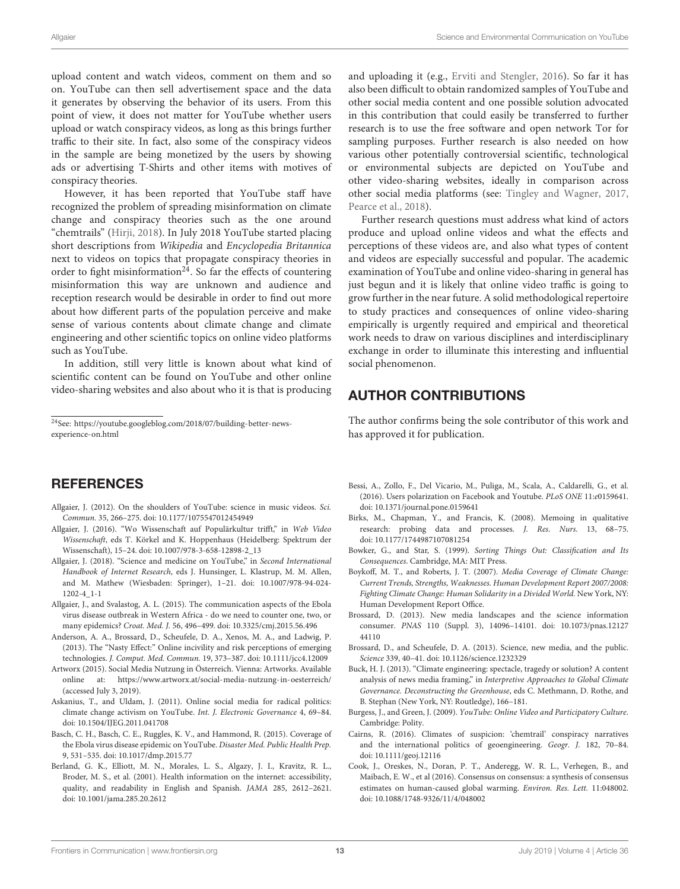upload content and watch videos, comment on them and so on. YouTube can then sell advertisement space and the data it generates by observing the behavior of its users. From this point of view, it does not matter for YouTube whether users upload or watch conspiracy videos, as long as this brings further traffic to their site. In fact, also some of the conspiracy videos in the sample are being monetized by the users by showing ads or advertising T-Shirts and other items with motives of conspiracy theories.

However, it has been reported that YouTube staff have recognized the problem of spreading misinformation on climate change and conspiracy theories such as the one around "chemtrails" [\(Hirji, 2018\)](#page-13-41). In July 2018 YouTube started placing short descriptions from Wikipedia and Encyclopedia Britannica next to videos on topics that propagate conspiracy theories in order to fight misinformation<sup>24</sup>. So far the effects of countering misinformation this way are unknown and audience and reception research would be desirable in order to find out more about how different parts of the population perceive and make sense of various contents about climate change and climate engineering and other scientific topics on online video platforms such as YouTube.

In addition, still very little is known about what kind of scientific content can be found on YouTube and other online video-sharing websites and also about who it is that is producing and uploading it (e.g., [Erviti and Stengler, 2016\)](#page-13-14). So far it has also been difficult to obtain randomized samples of YouTube and other social media content and one possible solution advocated in this contribution that could easily be transferred to further research is to use the free software and open network Tor for sampling purposes. Further research is also needed on how various other potentially controversial scientific, technological or environmental subjects are depicted on YouTube and other video-sharing websites, ideally in comparison across other social media platforms (see: [Tingley and Wagner, 2017,](#page-14-11) [Pearce et al., 2018\)](#page-13-17).

Further research questions must address what kind of actors produce and upload online videos and what the effects and perceptions of these videos are, and also what types of content and videos are especially successful and popular. The academic examination of YouTube and online video-sharing in general has just begun and it is likely that online video traffic is going to grow further in the near future. A solid methodological repertoire to study practices and consequences of online video-sharing empirically is urgently required and empirical and theoretical work needs to draw on various disciplines and interdisciplinary exchange in order to illuminate this interesting and influential social phenomenon.

# AUTHOR CONTRIBUTIONS

The author confirms being the sole contributor of this work and has approved it for publication.

# **REFERENCES**

- <span id="page-12-17"></span>Allgaier, J. (2012). On the shoulders of YouTube: science in music videos. Sci. Commun. 35, 266–275. doi: [10.1177/1075547012454949](https://doi.org/10.1177/1075547012454949)
- <span id="page-12-4"></span>Allgaier, J. (2016). "Wo Wissenschaft auf Populärkultur trifft," in Web Video Wissenschaft, eds T. Körkel and K. Hoppenhaus (Heidelberg: Spektrum der Wissenschaft), 15–24. doi: [10.1007/978-3-658-12898-2\\_13](https://doi.org/10.1007/978-3-658-12898-2_13)
- <span id="page-12-8"></span>Allgaier, J. (2018). "Science and medicine on YouTube," in Second International Handbook of Internet Research, eds J. Hunsinger, L. Klastrup, M. M. Allen, [and M. Mathew \(Wiesbaden: Springer\), 1–21. doi: 10.1007/978-94-024-](https://doi.org/10.1007/978-94-024-1202-4_1-1) 1202-4\_1-1
- <span id="page-12-7"></span>Allgaier, J., and Svalastog, A. L. (2015). The communication aspects of the Ebola virus disease outbreak in Western Africa - do we need to counter one, two, or many epidemics? Croat. Med. J. 56, 496–499. doi: [10.3325/cmj.2015.56.496](https://doi.org/10.3325/cmj.2015.56.496)
- <span id="page-12-10"></span>Anderson, A. A., Brossard, D., Scheufele, D. A., Xenos, M. A., and Ladwig, P. (2013). The "Nasty Effect:" Online incivility and risk perceptions of emerging technologies. J. Comput. Med. Commun. 19, 373–387. doi: [10.1111/jcc4.12009](https://doi.org/10.1111/jcc4.12009)
- <span id="page-12-6"></span>Artworx (2015). Social Media Nutzung in Österreich. Vienna: Artworks. Available online at:<https://www.artworx.at/social-media-nutzung-in-oesterreich/> (accessed July 3, 2019).
- <span id="page-12-11"></span>Askanius, T., and Uldam, J. (2011). Online social media for radical politics: climate change activism on YouTube. Int. J. Electronic Governance 4, 69–84. doi: [10.1504/IJEG.2011.041708](https://doi.org/10.1504/IJEG.2011.041708)
- <span id="page-12-9"></span>Basch, C. H., Basch, C. E., Ruggles, K. V., and Hammond, R. (2015). Coverage of the Ebola virus disease epidemic on YouTube. Disaster Med. Public Health Prep. 9, 531–535. doi: [10.1017/dmp.2015.77](https://doi.org/10.1017/dmp.2015.77)
- <span id="page-12-5"></span>Berland, G. K., Elliott, M. N., Morales, L. S., Algazy, J. I., Kravitz, R. L., Broder, M. S., et al. (2001). Health information on the internet: accessibility, quality, and readability in English and Spanish. JAMA 285, 2612–2621. doi: [10.1001/jama.285.20.2612](https://doi.org/10.1001/jama.285.20.2612)
- <span id="page-12-18"></span>Bessi, A., Zollo, F., Del Vicario, M., Puliga, M., Scala, A., Caldarelli, G., et al. (2016). Users polarization on Facebook and Youtube. PLoS ONE 11:e0159641. doi: [10.1371/journal.pone.0159641](https://doi.org/10.1371/journal.pone.0159641)
- <span id="page-12-16"></span>Birks, M., Chapman, Y., and Francis, K. (2008). Memoing in qualitative research: probing data and processes. J. Res. Nurs. 13, 68–75. doi: [10.1177/1744987107081254](https://doi.org/10.1177/1744987107081254)
- <span id="page-12-13"></span>Bowker, G., and Star, S. (1999). Sorting Things Out: Classification and Its Consequences. Cambridge, MA: MIT Press.
- <span id="page-12-0"></span>Boykoff, M. T., and Roberts, J. T. (2007). Media Coverage of Climate Change: Current Trends, Strengths, Weaknesses. Human Development Report 2007/2008: Fighting Climate Change: Human Solidarity in a Divided World. New York, NY: Human Development Report Office.
- <span id="page-12-2"></span>Brossard, D. (2013). New media landscapes and the science information consumer. PNAS [110 \(Suppl. 3\), 14096–14101. doi: 10.1073/pnas.12127](https://doi.org/10.1073/pnas.1212744110) 44110
- <span id="page-12-3"></span>Brossard, D., and Scheufele, D. A. (2013). Science, new media, and the public. Science 339, 40–41. doi: [10.1126/science.1232329](https://doi.org/10.1126/science.1232329)
- <span id="page-12-1"></span>Buck, H. J. (2013). "Climate engineering: spectacle, tragedy or solution? A content analysis of news media framing," in Interpretive Approaches to Global Climate Governance. Deconstructing the Greenhouse, eds C. Methmann, D. Rothe, and B. Stephan (New York, NY: Routledge), 166–181.
- <span id="page-12-12"></span>Burgess, J., and Green, J. (2009). YouTube: Online Video and Participatory Culture. Cambridge: Polity.
- <span id="page-12-15"></span>Cairns, R. (2016). Climates of suspicion: 'chemtrail' conspiracy narratives and the international politics of geoengineering. Geogr. J. 182, 70–84. doi: [10.1111/geoj.12116](https://doi.org/10.1111/geoj.12116)
- <span id="page-12-14"></span>Cook, J., Oreskes, N., Doran, P. T., Anderegg, W. R. L., Verhegen, B., and Maibach, E. W., et al (2016). Consensus on consensus: a synthesis of consensus estimates on human-caused global warming. Environ. Res. Lett. 11:048002. doi: [10.1088/1748-9326/11/4/048002](https://doi.org/10.1088/1748-9326/11/4/048002)

<sup>24</sup>See: [https://youtube.googleblog.com/2018/07/building-better-news](https://youtube.googleblog.com/2018/07/building-better-news-experience-on.html)[experience-on.html](https://youtube.googleblog.com/2018/07/building-better-news-experience-on.html)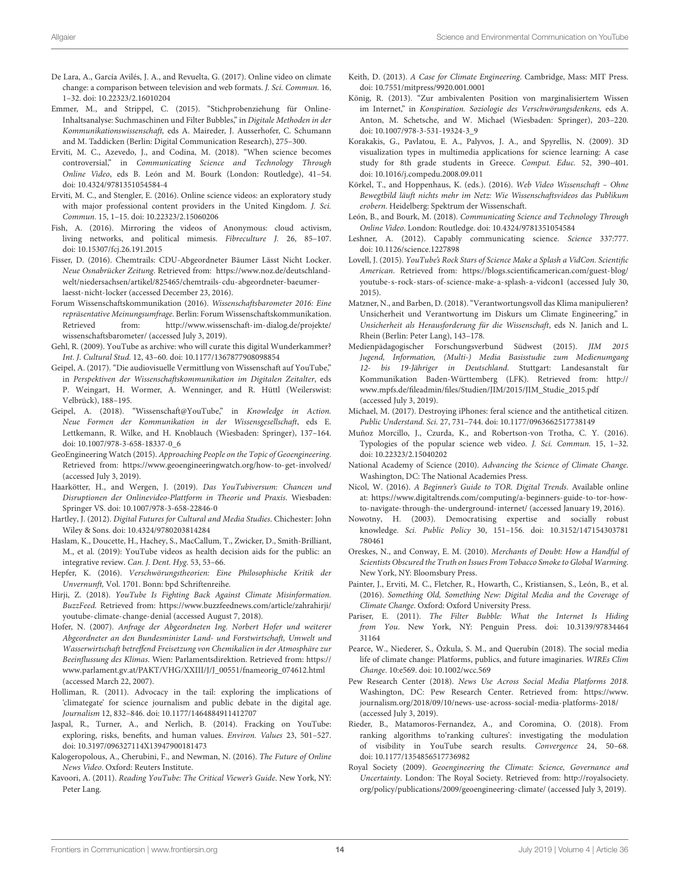- <span id="page-13-19"></span>De Lara, A., García Avilés, J. A., and Revuelta, G. (2017). Online video on climate change: a comparison between television and web formats. J. Sci. Commun. 16, 1–32. doi: [10.22323/2.16010204](https://doi.org/10.22323/2.16010204)
- <span id="page-13-32"></span>Emmer, M., and Strippel, C. (2015). "Stichprobenziehung für Online-Inhaltsanalyse: Suchmaschinen und Filter Bubbles," in Digitale Methoden in der Kommunikationswissenschaft, eds A. Maireder, J. Ausserhofer, C. Schumann and M. Taddicken (Berlin: Digital Communication Research), 275–300.
- <span id="page-13-18"></span>Erviti, M. C., Azevedo, J., and Codina, M. (2018). "When science becomes controversial," in Communicating Science and Technology Through Online Video, eds B. León and M. Bourk (London: Routledge), 41–54. doi: [10.4324/9781351054584-4](https://doi.org/10.4324/9781351054584-4)
- <span id="page-13-14"></span>Erviti, M. C., and Stengler, E. (2016). Online science videos: an exploratory study with major professional content providers in the United Kingdom. J. Sci. Commun. 15, 1–15. doi: [10.22323/2.15060206](https://doi.org/10.22323/2.15060206)
- <span id="page-13-39"></span>Fish, A. (2016). Mirroring the videos of Anonymous: cloud activism, living networks, and political mimesis. Fibreculture J. 26, 85–107. doi: [10.15307/fcj.26.191.2015](https://doi.org/10.15307/fcj.26.191.2015)
- <span id="page-13-28"></span>Fisser, D. (2016). Chemtrails: CDU-Abgeordneter Bäumer Lässt Nicht Locker. Neue Osnabrücker Zeitung. Retrieved from: [https://www.noz.de/deutschland](https://www.noz.de/deutschland-welt/niedersachsen/artikel/825465/chemtrails-cdu-abgeordneter-baeumer-laesst-nicht-locker)[welt/niedersachsen/artikel/825465/chemtrails-cdu-abgeordneter-baeumer](https://www.noz.de/deutschland-welt/niedersachsen/artikel/825465/chemtrails-cdu-abgeordneter-baeumer-laesst-nicht-locker)[laesst-nicht-locker](https://www.noz.de/deutschland-welt/niedersachsen/artikel/825465/chemtrails-cdu-abgeordneter-baeumer-laesst-nicht-locker) (accessed December 23, 2016).
- <span id="page-13-8"></span>Forum Wissenschaftskommunikation (2016). Wissenschaftsbarometer 2016: Eine repräsentative Meinungsumfrage. Berlin: Forum Wissenschaftskommunikation. Retrieved from: [http://www.wissenschaft-im-dialog.de/projekte/](http://www.wissenschaft-im-dialog.de/projekte/wissenschaftsbarometer/) [wissenschaftsbarometer/](http://www.wissenschaft-im-dialog.de/projekte/wissenschaftsbarometer/) (accessed July 3, 2019).
- <span id="page-13-23"></span>Gehl, R. (2009). YouTube as archive: who will curate this digital Wunderkammer? Int. J. Cultural Stud. 12, 43–60. doi: [10.1177/1367877908098854](https://doi.org/10.1177/1367877908098854)
- <span id="page-13-11"></span>Geipel, A. (2017). "Die audiovisuelle Vermittlung von Wissenschaft auf YouTube," in Perspektiven der Wissenschaftskommunikation im Digitalen Zeitalter, eds P. Weingart, H. Wormer, A. Wenninger, and R. Hüttl (Weilerswist: Velbrück), 188–195.
- <span id="page-13-12"></span>Geipel, A. (2018). "Wissenschaft@YouTube," in Knowledge in Action. Neue Formen der Kommunikation in der Wissensgesellschaft, eds E. Lettkemann, R. Wilke, and H. Knoblauch (Wiesbaden: Springer), 137–164. doi: [10.1007/978-3-658-18337-0\\_6](https://doi.org/10.1007/978-3-658-18337-0_6)
- <span id="page-13-36"></span>GeoEngineering Watch (2015). Approaching People on the Topic of Geoengineering. Retrieved from:<https://www.geoengineeringwatch.org/how-to-get-involved/> (accessed July 3, 2019).
- <span id="page-13-3"></span>Haarkötter, H., and Wergen, J. (2019). Das YouTubiversum: Chancen und Disruptionen der Onlinevideo-Plattform in Theorie und Praxis. Wiesbaden: Springer VS. doi: [10.1007/978-3-658-22846-0](https://doi.org/10.1007/978-3-658-22846-0)
- <span id="page-13-22"></span>Hartley, J. (2012). Digital Futures for Cultural and Media Studies. Chichester: John Wiley & Sons. doi: [10.4324/9780203814284](https://doi.org/10.4324/9780203814284)
- <span id="page-13-15"></span>Haslam, K., Doucette, H., Hachey, S., MacCallum, T., Zwicker, D., Smith-Brilliant, M., et al. (2019): YouTube videos as health decision aids for the public: an integrative review. Can. J. Dent. Hyg. 53, 53–66.
- <span id="page-13-30"></span>Hepfer, K. (2016). Verschwörungstheorien: Eine Philosophische Kritik der Unvernunft, Vol. 1701. Bonn: bpd Schriftenreihe.
- <span id="page-13-41"></span>Hirji, Z. (2018). YouTube Is Fighting Back Against Climate Misinformation. BuzzFeed. Retrieved from: [https://www.buzzfeednews.com/article/zahrahirji/](https://www.buzzfeednews.com/article/zahrahirji/youtube-climate-change-denial) [youtube-climate-change-denial](https://www.buzzfeednews.com/article/zahrahirji/youtube-climate-change-denial) (accessed August 7, 2018).
- <span id="page-13-29"></span>Hofer, N. (2007). Anfrage der Abgeordneten Ing. Norbert Hofer und weiterer Abgeordneter an den Bundesminister Land- und Forstwirtschaft, Umwelt und Wasserwirtschaft betreffend Freisetzung von Chemikalien in der Atmosphäre zur Beeinflussung des Klimas. Wien: Parlamentsdirektion. Retrieved from: [https://](https://www.parlament.gv.at/PAKT/VHG/XXIII/J/J_00551/fnameorig_074612.html) [www.parlament.gv.at/PAKT/VHG/XXIII/J/J\\_00551/fnameorig\\_074612.html](https://www.parlament.gv.at/PAKT/VHG/XXIII/J/J_00551/fnameorig_074612.html) (accessed March 22, 2007).
- <span id="page-13-35"></span>Holliman, R. (2011). Advocacy in the tail: exploring the implications of 'climategate' for science journalism and public debate in the digital age. Journalism 12, 832–846. doi: [10.1177/1464884911412707](https://doi.org/10.1177/1464884911412707)
- <span id="page-13-20"></span>Jaspal, R., Turner, A., and Nerlich, B. (2014). Fracking on YouTube: exploring, risks, benefits, and human values. Environ. Values 23, 501–527. doi: [10.3197/096327114X13947900181473](https://doi.org/10.3197/096327114X13947900181473)
- <span id="page-13-2"></span>Kalogeropolous, A., Cherubini, F., and Newman, N. (2016). The Future of Online News Video. Oxford: Reuters Institute.
- <span id="page-13-21"></span>Kavoori, A. (2011). Reading YouTube: The Critical Viewer's Guide. New York, NY: Peter Lang.
- <span id="page-13-1"></span>Keith, D. (2013). A Case for Climate Engineering. Cambridge, Mass: MIT Press. doi: [10.7551/mitpress/9920.001.0001](https://doi.org/10.7551/mitpress/9920.001.0001)
- <span id="page-13-37"></span>König, R. (2013). "Zur ambivalenten Position von marginalisiertem Wissen im Internet," in Konspiration. Soziologie des Verschwörungsdenkens, eds A. Anton, M. Schetsche, and W. Michael (Wiesbaden: Springer), 203–220. doi: [10.1007/978-3-531-19324-3\\_9](https://doi.org/10.1007/978-3-531-19324-3_9)
- <span id="page-13-6"></span>Korakakis, G., Pavlatou, E. A., Palyvos, J. A., and Spyrellis, N. (2009). 3D visualization types in multimedia applications for science learning: A case study for 8th grade students in Greece. Comput. Educ. 52, 390–401. doi: [10.1016/j.compedu.2008.09.011](https://doi.org/10.1016/j.compedu.2008.09.011)
- <span id="page-13-9"></span>Körkel, T., and Hoppenhaus, K. (eds.). (2016). Web Video Wissenschaft – Ohne Bewegtbild läuft nichts mehr im Netz: Wie Wissenschaftsvideos das Publikum erobern. Heidelberg: Spektrum der Wissenschaft.
- <span id="page-13-5"></span>León, B., and Bourk, M. (2018). Communicating Science and Technology Through Online Video. London: Routledge. doi: [10.4324/9781351054584](https://doi.org/10.4324/9781351054584)
- <span id="page-13-40"></span>Leshner, A. (2012). Capably communicating science. Science 337:777. doi: [10.1126/science.1227898](https://doi.org/10.1126/science.1227898)
- <span id="page-13-13"></span>Lovell, J. (2015). YouTube's Rock Stars of Science Make a Splash a VidCon. Scientific American. Retrieved from: [https://blogs.scientificamerican.com/guest-blog/](https://blogs.scientificamerican.com/guest-blog/youtube-s-rock-stars-of-science-make-a-splash-a-vidcon1) [youtube-s-rock-stars-of-science-make-a-splash-a-vidcon1](https://blogs.scientificamerican.com/guest-blog/youtube-s-rock-stars-of-science-make-a-splash-a-vidcon1) (accessed July 30, 2015).
- <span id="page-13-27"></span>Matzner, N., and Barben, D. (2018). "Verantwortungsvoll das Klima manipulieren? Unsicherheit und Verantwortung im Diskurs um Climate Engineering," in Unsicherheit als Herausforderung für die Wissenschaft, eds N. Janich and L. Rhein (Berlin: Peter Lang), 143–178.
- <span id="page-13-7"></span>Medienpädagogischer Forschungsverbund Südwest (2015). JIM 2015 Jugend, Information, (Multi-) Media Basisstudie zum Medienumgang 12- bis 19-Jähriger in Deutschland. Stuttgart: Landesanstalt für Kommunikation Baden-Württemberg (LFK). Retrieved from: [http://](http://www.mpfs.de/fileadmin/files/Studien/JIM/2015/JIM_Studie_2015.pdf) [www.mpfs.de/fileadmin/files/Studien/JIM/2015/JIM\\_Studie\\_2015.pdf](http://www.mpfs.de/fileadmin/files/Studien/JIM/2015/JIM_Studie_2015.pdf) (accessed July 3, 2019).
- <span id="page-13-16"></span>Michael, M. (2017). Destroying iPhones: feral science and the antithetical citizen. Public Understand. Sci. 27, 731–744. doi: [10.1177/0963662517738149](https://doi.org/10.1177/0963662517738149)
- <span id="page-13-10"></span>Muñoz Morcillo, J., Czurda, K., and Robertson-von Trotha, C. Y. (2016). Typologies of the popular science web video. J. Sci. Commun. 15, 1–32. doi: [10.22323/2.15040202](https://doi.org/10.22323/2.15040202)
- <span id="page-13-25"></span>National Academy of Science (2010). Advancing the Science of Climate Change. Washington, DC: The National Academies Press.
- <span id="page-13-33"></span>Nicol, W. (2016). A Beginner's Guide to TOR. Digital Trends. Available online at: [https://www.digitaltrends.com/computing/a-beginners-guide-to-tor-how](https://www.digitaltrends.com/computing/a-beginners-guide-to-tor-how-to-navigate-through-the-underground-internet/)[to-navigate-through-the-underground-internet/](https://www.digitaltrends.com/computing/a-beginners-guide-to-tor-how-to-navigate-through-the-underground-internet/) (accessed January 19, 2016).
- <span id="page-13-38"></span>Nowotny, H. (2003). Democratising expertise and socially robust knowledge. Sci. Public Policy [30, 151–156. doi: 10.3152/147154303781](https://doi.org/10.3152/147154303781780461) 780461
- <span id="page-13-0"></span>Oreskes, N., and Conway, E. M. (2010). Merchants of Doubt: How a Handful of Scientists Obscured the Truth on Issues From Tobacco Smoke to Global Warming. New York, NY: Bloomsbury Press.
- <span id="page-13-24"></span>Painter, J., Erviti, M. C., Fletcher, R., Howarth, C., Kristiansen, S., León, B., et al. (2016). Something Old, Something New: Digital Media and the Coverage of Climate Change. Oxford: Oxford University Press.
- <span id="page-13-31"></span>Pariser, E. (2011). The Filter Bubble: What the Internet Is Hiding from You[. New York, NY: Penguin Press. doi: 10.3139/97834464](https://doi.org/10.3139/9783446431164) 31164
- <span id="page-13-17"></span>Pearce, W., Niederer, S., Özkula, S. M., and Querubín (2018). The social media life of climate change: Platforms, publics, and future imaginaries. WIREs Clim Change. 10:e569. doi: [10.1002/wcc.569](https://doi.org/10.1002/wcc.569)
- <span id="page-13-4"></span>Pew Research Center (2018). News Use Across Social Media Platforms 2018. Washington, DC: Pew Research Center. Retrieved from: [https://www.](https://www.journalism.org/2018/09/10/news-use-across-social-media-platforms-2018/) [journalism.org/2018/09/10/news-use-across-social-media-platforms-2018/](https://www.journalism.org/2018/09/10/news-use-across-social-media-platforms-2018/) (accessed July 3, 2019).
- <span id="page-13-34"></span>Rieder, B., Matamoros-Fernandez, A., and Coromina, O. (2018). From ranking algorithms to'ranking cultures': investigating the modulation of visibility in YouTube search results. Convergence 24, 50–68. doi: [10.1177/1354856517736982](https://doi.org/10.1177/1354856517736982)
- <span id="page-13-26"></span>Royal Society (2009). Geoengineering the Climate: Science, Governance and Uncertainty. London: The Royal Society. Retrieved from: [http://royalsociety.](http://royalsociety.org/policy/publications/2009/geoengineering-climate/) [org/policy/publications/2009/geoengineering-climate/](http://royalsociety.org/policy/publications/2009/geoengineering-climate/) (accessed July 3, 2019).